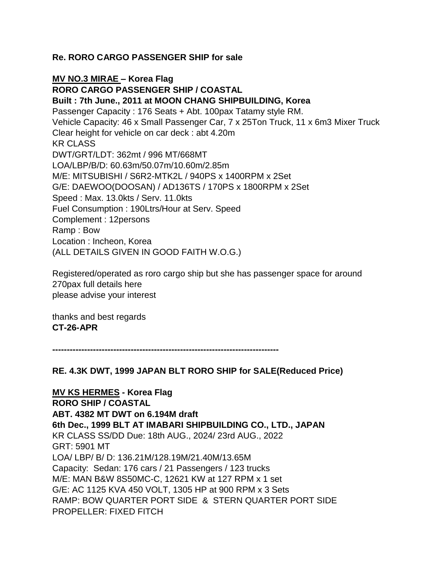## **Re. RORO CARGO PASSENGER SHIP for sale**

**MV NO.3 MIRAE – Korea Flag**

**RORO CARGO PASSENGER SHIP / COASTAL**

**Built : 7th June., 2011 at MOON CHANG SHIPBUILDING, Korea** Passenger Capacity : 176 Seats + Abt. 100pax Tatamy style RM. Vehicle Capacity: 46 x Small Passenger Car, 7 x 25Ton Truck, 11 x 6m3 Mixer Truck Clear height for vehicle on car deck : abt 4.20m KR CLASS DWT/GRT/LDT: 362mt / 996 MT/668MT LOA/LBP/B/D: 60.63m/50.07m/10.60m/2.85m M/E: MITSUBISHI / S6R2-MTK2L / 940PS x 1400RPM x 2Set G/E: DAEWOO(DOOSAN) / AD136TS / 170PS x 1800RPM x 2Set Speed : Max. 13.0kts / Serv. 11.0kts Fuel Consumption : 190Ltrs/Hour at Serv. Speed Complement : 12persons Ramp : Bow Location : Incheon, Korea (ALL DETAILS GIVEN IN GOOD FAITH W.O.G.)

Registered/operated as roro cargo ship but she has passenger space for around 270pax full details here please advise your interest

thanks and best regards **CT-26-APR**

**------------------------------------------------------------------------------**

**RE. 4.3K DWT, 1999 JAPAN BLT RORO SHIP for SALE(Reduced Price)**

**MV KS HERMES - Korea Flag RORO SHIP / COASTAL ABT. 4382 MT DWT on 6.194M draft 6th Dec., 1999 BLT AT IMABARI SHIPBUILDING CO., LTD., JAPAN** KR CLASS SS/DD Due: 18th AUG., 2024/ 23rd AUG., 2022 GRT: 5901 MT LOA/ LBP/ B/ D: 136.21M/128.19M/21.40M/13.65M Capacity: Sedan: 176 cars / 21 Passengers / 123 trucks M/E: MAN B&W 8S50MC-C, 12621 KW at 127 RPM x 1 set G/E: AC 1125 KVA 450 VOLT, 1305 HP at 900 RPM x 3 Sets RAMP: BOW QUARTER PORT SIDE & STERN QUARTER PORT SIDE PROPELLER: FIXED FITCH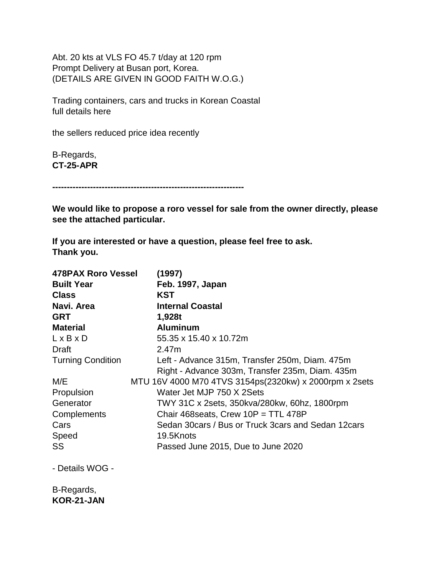Abt. 20 kts at VLS FO 45.7 t/day at 120 rpm Prompt Delivery at Busan port, Korea. (DETAILS ARE GIVEN IN GOOD FAITH W.O.G.)

Trading containers, cars and trucks in Korean Coastal full details here

the sellers reduced price idea recently

B-Regards, **CT-25-APR**

**------------------------------------------------------------------**

**We would like to propose a roro vessel for sale from the owner directly, please see the attached particular.**

**If you are interested or have a question, please feel free to ask. Thank you.**

| <b>478PAX Roro Vessel</b><br><b>Built Year</b><br><b>Class</b> | (1997)<br>Feb. 1997, Japan<br>KST                                                                 |
|----------------------------------------------------------------|---------------------------------------------------------------------------------------------------|
| Navi. Area                                                     | <b>Internal Coastal</b>                                                                           |
| <b>GRT</b>                                                     | 1,928t                                                                                            |
| <b>Material</b>                                                | <b>Aluminum</b>                                                                                   |
| $L \times B \times D$                                          | 55.35 x 15.40 x 10.72m                                                                            |
| Draft                                                          | 2.47m                                                                                             |
| <b>Turning Condition</b>                                       | Left - Advance 315m, Transfer 250m, Diam. 475m<br>Right - Advance 303m, Transfer 235m, Diam. 435m |
| M/E                                                            | MTU 16V 4000 M70 4TVS 3154ps(2320kw) x 2000rpm x 2sets                                            |
| Propulsion                                                     | Water Jet MJP 750 X 2Sets                                                                         |
| Generator                                                      | TWY 31C x 2sets, 350kva/280kw, 60hz, 1800rpm                                                      |
| Complements                                                    | Chair 468 seats, Crew $10P = TTL 478P$                                                            |
| Cars                                                           | Sedan 30 cars / Bus or Truck 3 cars and Sedan 12 cars                                             |
| Speed                                                          | 19.5Knots                                                                                         |
| SS                                                             | Passed June 2015, Due to June 2020                                                                |

- Details WOG -

B-Regards, **KOR-21-JAN**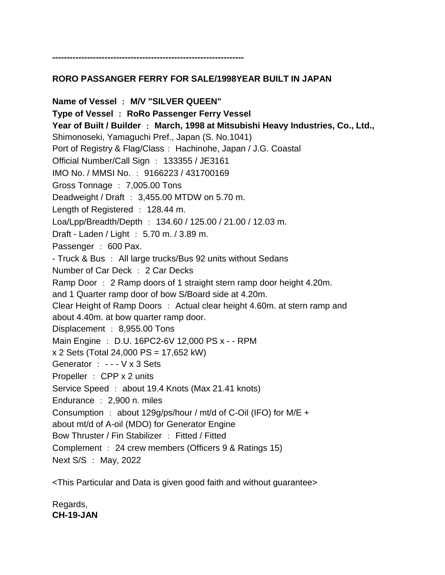#### **------------------------------------------------------------------**

## **RORO PASSANGER FERRY FOR SALE/1998YEAR BUILT IN JAPAN**

**Name of Vessel** : **M/V "SILVER QUEEN" Type of Vessel** : **RoRo Passenger Ferry Vessel Year of Built / Builder** : **March, 1998 at Mitsubishi Heavy Industries, Co., Ltd.,** Shimonoseki, Yamaguchi Pref., Japan (S. No.1041) Port of Registry & Flag/Class: Hachinohe, Japan / J.G. Coastal Official Number/Call Sign : 133355 / JE3161 IMO No. / MMSI No. : 9166223 / 431700169 Gross Tonnage : 7,005.00 Tons Deadweight / Draft : 3,455.00 MTDW on 5.70 m. Length of Registered : 128.44 m. Loa/Lpp/Breadth/Depth : 134.60 / 125.00 / 21.00 / 12.03 m. Draft - Laden / Light : 5.70 m. / 3.89 m. Passenger : 600 Pax. - Truck & Bus : All large trucks/Bus 92 units without Sedans Number of Car Deck : 2 Car Decks Ramp Door : 2 Ramp doors of 1 straight stern ramp door height 4.20m. and 1 Quarter ramp door of bow S/Board side at 4.20m. Clear Height of Ramp Doors : Actual clear height 4.60m. at stern ramp and about 4.40m. at bow quarter ramp door. Displacement : 8,955.00 Tons Main Engine : D.U. 16PC2-6V 12,000 PS x - - RPM x 2 Sets (Total 24,000 PS = 17,652 kW) Generator : - - - V x 3 Sets Propeller : CPP x 2 units Service Speed : about 19.4 Knots (Max 21.41 knots) Endurance : 2,900 n. miles Consumption : about 129g/ps/hour / mt/d of C-Oil (IFO) for M/E + about mt/d of A-oil (MDO) for Generator Engine Bow Thruster / Fin Stabilizer : Fitted / Fitted Complement : 24 crew members (Officers 9 & Ratings 15) Next S/S : May, 2022

<This Particular and Data is given good faith and without guarantee>

Regards, **CH-19-JAN**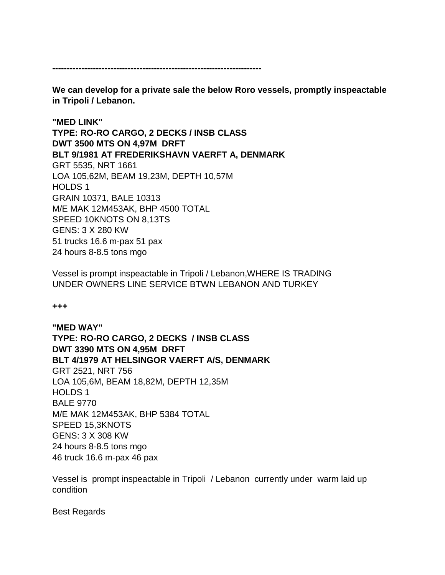**------------------------------------------------------------------------**

**We can develop for a private sale the below Roro vessels, promptly inspeactable in Tripoli / Lebanon.** 

**"MED LINK" TYPE: RO-RO CARGO, 2 DECKS / INSB CLASS DWT 3500 MTS ON 4,97M DRFT BLT 9/1981 AT FREDERIKSHAVN VAERFT A, DENMARK** GRT 5535, NRT 1661 LOA 105,62M, BEAM 19,23M, DEPTH 10,57M HOLDS 1 GRAIN 10371, BALE 10313 M/E MAK 12M453AK, BHP 4500 TOTAL SPEED 10KNOTS ON 8,13TS GENS: 3 X 280 KW 51 trucks 16.6 m-pax 51 pax 24 hours 8-8.5 tons mgo

Vessel is prompt inspeactable in Tripoli / Lebanon,WHERE IS TRADING UNDER OWNERS LINE SERVICE BTWN LEBANON AND TURKEY

**+++**

**"MED WAY" TYPE: RO-RO CARGO, 2 DECKS / INSB CLASS DWT 3390 MTS ON 4,95M DRFT BLT 4/1979 AT HELSINGOR VAERFT A/S, DENMARK** GRT 2521, NRT 756 LOA 105,6M, BEAM 18,82M, DEPTH 12,35M HOLDS 1 BALE 9770 M/E MAK 12M453AK, BHP 5384 TOTAL SPEED 15,3KNOTS GENS: 3 X 308 KW 24 hours 8-8.5 tons mgo 46 truck 16.6 m-pax 46 pax

Vessel is prompt inspeactable in Tripoli / Lebanon currently under warm laid up condition

Best Regards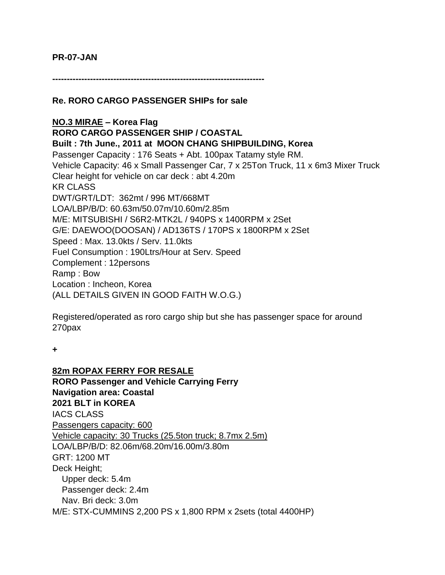#### **PR-07-JAN**

**-------------------------------------------------------------------------**

**Re. RORO CARGO PASSENGER SHIPs for sale**

**NO.3 MIRAE – Korea Flag RORO CARGO PASSENGER SHIP / COASTAL Built : 7th June., 2011 at MOON CHANG SHIPBUILDING, Korea** Passenger Capacity : 176 Seats + Abt. 100pax Tatamy style RM. Vehicle Capacity: 46 x Small Passenger Car, 7 x 25Ton Truck, 11 x 6m3 Mixer Truck Clear height for vehicle on car deck : abt 4.20m KR CLASS DWT/GRT/LDT: 362mt / 996 MT/668MT LOA/LBP/B/D: 60.63m/50.07m/10.60m/2.85m M/E: MITSUBISHI / S6R2-MTK2L / 940PS x 1400RPM x 2Set G/E: DAEWOO(DOOSAN) / AD136TS / 170PS x 1800RPM x 2Set Speed : Max. 13.0kts / Serv. 11.0kts Fuel Consumption : 190Ltrs/Hour at Serv. Speed Complement : 12persons Ramp : Bow Location : Incheon, Korea (ALL DETAILS GIVEN IN GOOD FAITH W.O.G.)

Registered/operated as roro cargo ship but she has passenger space for around 270pax

**+**

**82m ROPAX FERRY FOR RESALE RORO Passenger and Vehicle Carrying Ferry Navigation area: Coastal 2021 BLT in KOREA** IACS CLASS Passengers capacity: 600 Vehicle capacity: 30 Trucks (25.5ton truck; 8.7mx 2.5m) LOA/LBP/B/D: 82.06m/68.20m/16.00m/3.80m GRT: 1200 MT Deck Height; Upper deck: 5.4m Passenger deck: 2.4m Nav. Bri deck: 3.0m M/E: STX-CUMMINS 2,200 PS x 1,800 RPM x 2sets (total 4400HP)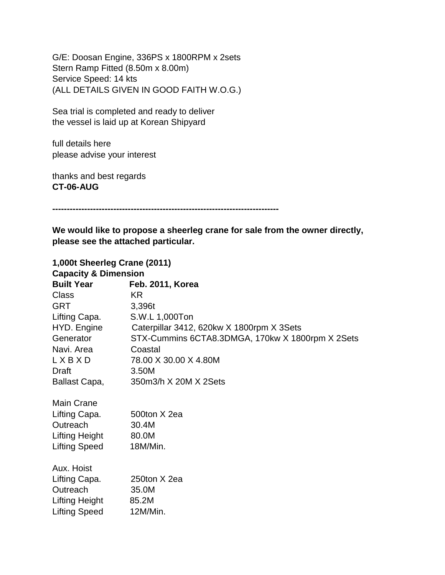G/E: Doosan Engine, 336PS x 1800RPM x 2sets Stern Ramp Fitted (8.50m x 8.00m) Service Speed: 14 kts (ALL DETAILS GIVEN IN GOOD FAITH W.O.G.)

Sea trial is completed and ready to deliver the vessel is laid up at Korean Shipyard

full details here please advise your interest

thanks and best regards **CT-06-AUG**

**------------------------------------------------------------------------------**

**We would like to propose a sheerleg crane for sale from the owner directly, please see the attached particular.**

| 1,000t Sheerleg Crane (2011)    |                                                  |  |
|---------------------------------|--------------------------------------------------|--|
| <b>Capacity &amp; Dimension</b> |                                                  |  |
| <b>Built Year</b>               | Feb. 2011, Korea                                 |  |
| <b>Class</b>                    | KR.                                              |  |
| <b>GRT</b>                      | 3,396t                                           |  |
| Lifting Capa.                   | S.W.L 1,000Ton                                   |  |
| HYD. Engine                     | Caterpillar 3412, 620kw X 1800rpm X 3Sets        |  |
| Generator                       | STX-Cummins 6CTA8.3DMGA, 170kw X 1800rpm X 2Sets |  |
| Navi. Area                      | Coastal                                          |  |
| LXBXD                           | 78.00 X 30.00 X 4.80M                            |  |
| Draft                           | 3.50M                                            |  |
| Ballast Capa,                   | 350m3/h X 20M X 2Sets                            |  |
| <b>Main Crane</b>               |                                                  |  |
| Lifting Capa.                   | 500ton X 2ea                                     |  |
| Outreach                        | 30.4M                                            |  |
| Lifting Height                  | 80.0M                                            |  |
| <b>Lifting Speed</b>            | 18M/Min.                                         |  |
| Aux. Hoist                      |                                                  |  |
| Lifting Capa.                   | 250ton X 2ea                                     |  |
| Outreach                        | 35.0M                                            |  |
| Lifting Height 85.2M            |                                                  |  |
| Lifting Speed                   | 12M/Min.                                         |  |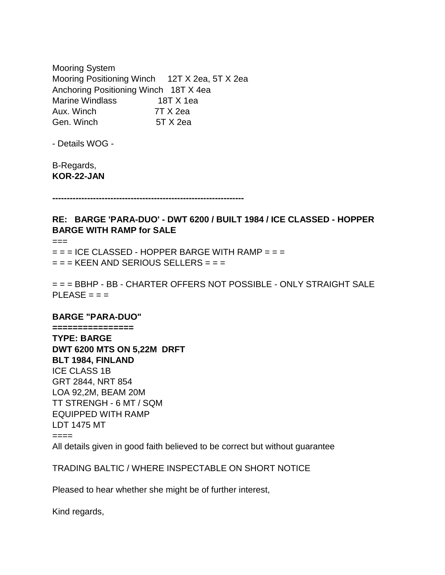Mooring System Mooring Positioning Winch 12T X 2ea, 5T X 2ea Anchoring Positioning Winch 18T X 4ea Marine Windlass 18T X 1ea Aux. Winch 7T X 2ea Gen. Winch 5T X 2ea

- Details WOG -

B-Regards, **KOR-22-JAN**

**------------------------------------------------------------------**

## **RE: BARGE 'PARA-DUO' - DWT 6200 / BUILT 1984 / ICE CLASSED - HOPPER BARGE WITH RAMP for SALE**

===

 $=$   $=$  ICE CLASSED - HOPPER BARGE WITH RAMP  $=$   $=$   $=$  $=$  =  $=$  KEEN AND SERIOUS SELLERS =  $=$   $=$ 

= = = BBHP - BB - CHARTER OFFERS NOT POSSIBLE - ONLY STRAIGHT SALE  $PLEASE = =$ 

#### **BARGE "PARA-DUO"**

**================ TYPE: BARGE DWT 6200 MTS ON 5,22M DRFT BLT 1984, FINLAND** ICE CLASS 1B GRT 2844, NRT 854 LOA 92,2M, BEAM 20M TT STRENGH - 6 MT / SQM EQUIPPED WITH RAMP LDT 1475 MT

====

All details given in good faith believed to be correct but without guarantee

### TRADING BALTIC / WHERE INSPECTABLE ON SHORT NOTICE

Pleased to hear whether she might be of further interest,

Kind regards,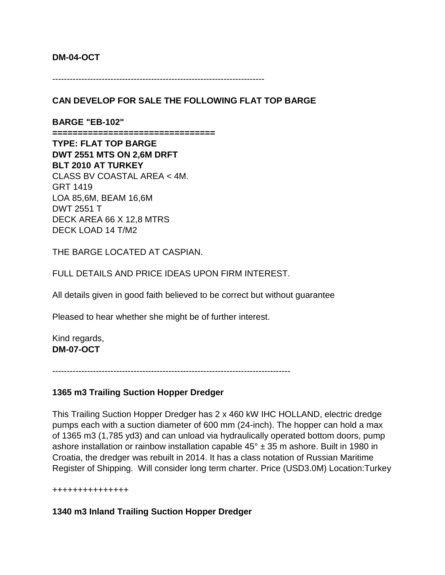#### **DM-04-OCT**

-------------------------------------------------------------------------

## **CAN DEVELOP FOR SALE THE FOLLOWING FLAT TOP BARGE**

**BARGE "EB-102" ================================ TYPE: FLAT TOP BARGE DWT 2551 MTS ON 2,6M DRFT BLT 2010 AT TURKEY** CLASS BV COASTAL AREA < 4M. GRT 1419 LOA 85,6M, BEAM 16,6M DWT 2551 T DECK AREA 66 X 12,8 MTRS DECK LOAD 14 T/M2

THE BARGE LOCATED AT CASPIAN.

FULL DETAILS AND PRICE IDEAS UPON FIRM INTEREST.

All details given in good faith believed to be correct but without guarantee

Pleased to hear whether she might be of further interest.

Kind regards, **DM-07-OCT**

----------------------------------------------------------------------------------

#### **1365 m3 Trailing Suction Hopper Dredger**

This Trailing Suction Hopper Dredger has 2 x 460 kW IHC HOLLAND, electric dredge pumps each with a suction diameter of 600 mm (24-inch). The hopper can hold a max of 1365 m3 (1,785 yd3) and can unload via hydraulically operated bottom doors, pump ashore installation or rainbow installation capable  $45^{\circ}$  ± 35 m ashore. Built in 1980 in Croatia, the dredger was rebuilt in 2014. It has a class notation of Russian Maritime Register of Shipping. Will consider long term charter. Price (USD3.0M) Location:Turkey

+++++++++++++++

## **1340 m3 Inland Trailing Suction Hopper Dredger**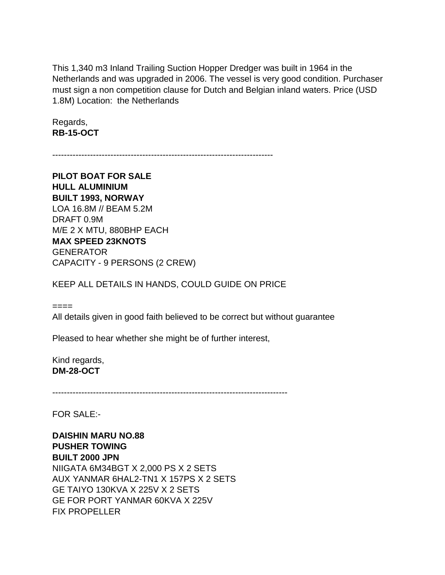This 1,340 m3 Inland Trailing Suction Hopper Dredger was built in 1964 in the Netherlands and was upgraded in 2006. The vessel is very good condition. Purchaser must sign a non competition clause for Dutch and Belgian inland waters. Price (USD 1.8M) Location: the Netherlands

Regards, **RB-15-OCT**

----------------------------------------------------------------------------

**PILOT BOAT FOR SALE HULL ALUMINIUM BUILT 1993, NORWAY** LOA 16.8M // BEAM 5.2M DRAFT 0.9M M/E 2 X MTU, 880BHP EACH **MAX SPEED 23KNOTS GENERATOR** CAPACITY - 9 PERSONS (2 CREW)

### KEEP ALL DETAILS IN HANDS, COULD GUIDE ON PRICE

 $=$ 

All details given in good faith believed to be correct but without guarantee

Pleased to hear whether she might be of further interest,

Kind regards, **DM-28-OCT**

---------------------------------------------------------------------------------

FOR SALE:-

**DAISHIN MARU NO.88 PUSHER TOWING BUILT 2000 JPN** NIIGATA 6M34BGT X 2,000 PS X 2 SETS AUX YANMAR 6HAL2-TN1 X 157PS X 2 SETS GE TAIYO 130KVA X 225V X 2 SETS GE FOR PORT YANMAR 60KVA X 225V FIX PROPELLER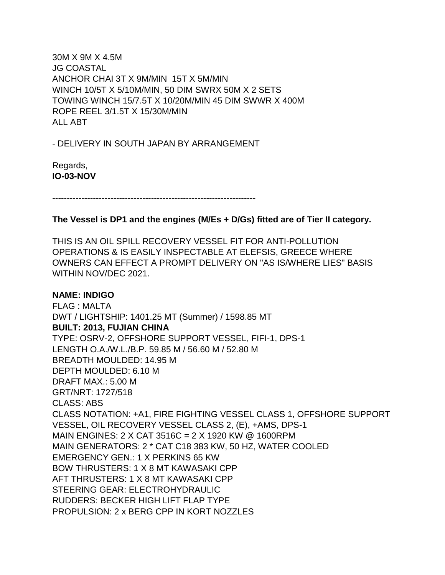30M X 9M X 4.5M JG COASTAL ANCHOR CHAI 3T X 9M/MIN 15T X 5M/MIN WINCH 10/5T X 5/10M/MIN, 50 DIM SWRX 50M X 2 SETS TOWING WINCH 15/7.5T X 10/20M/MIN 45 DIM SWWR X 400M ROPE REEL 3/1.5T X 15/30M/MIN ALL ABT

- DELIVERY IN SOUTH JAPAN BY ARRANGEMENT

Regards, **IO-03-NOV**

----------------------------------------------------------------------

### **The Vessel is DP1 and the engines (M/Es + D/Gs) fitted are of Tier II category.**

THIS IS AN OIL SPILL RECOVERY VESSEL FIT FOR ANTI-POLLUTION OPERATIONS & IS EASILY INSPECTABLE AT ELEFSIS, GREECE WHERE OWNERS CAN EFFECT A PROMPT DELIVERY ON "AS IS/WHERE LIES" BASIS WITHIN NOV/DEC 2021.

#### **NAME: INDIGO**

FLAG : MALTA DWT / LIGHTSHIP: 1401.25 MT (Summer) / 1598.85 MT **BUILT: 2013, FUJIAN CHINA**  TYPE: OSRV-2, OFFSHORE SUPPORT VESSEL, FIFI-1, DPS-1 LENGTH O.A./W.L./B.P. 59.85 M / 56.60 M / 52.80 M BREADTH MOULDED: 14.95 M DEPTH MOULDED: 6.10 M DRAFT MAX.: 5.00 M GRT/NRT: 1727/518 CLASS: ABS CLASS NOTATION: +A1, FIRE FIGHTING VESSEL CLASS 1, OFFSHORE SUPPORT VESSEL, OIL RECOVERY VESSEL CLASS 2, (E), +AMS, DPS-1 MAIN ENGINES: 2 X CAT 3516C = 2 X 1920 KW @ 1600RPM MAIN GENERATORS: 2 \* CAT C18 383 KW, 50 HZ, WATER COOLED EMERGENCY GEN.: 1 X PERKINS 65 KW BOW THRUSTERS: 1 X 8 MT KAWASAKI CPP AFT THRUSTERS: 1 X 8 MT KAWASAKI CPP STEERING GEAR: ELECTROHYDRAULIC RUDDERS: BECKER HIGH LIFT FLAP TYPE PROPULSION: 2 x BERG CPP IN KORT NOZZLES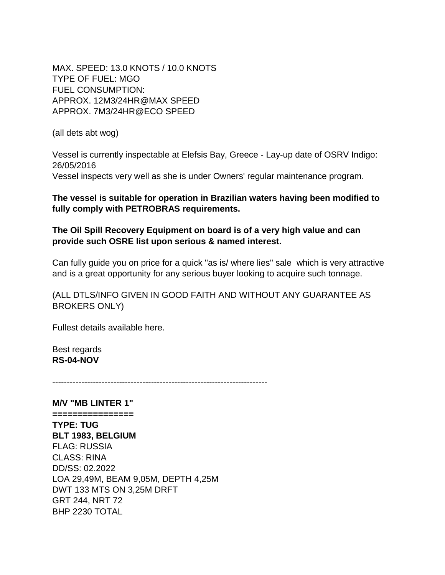MAX. SPEED: 13.0 KNOTS / 10.0 KNOTS TYPE OF FUEL: MGO FUEL CONSUMPTION: APPROX. 12M3/24HR@MAX SPEED APPROX. 7M3/24HR@ECO SPEED

(all dets abt wog)

Vessel is currently inspectable at Elefsis Bay, Greece - Lay-up date of OSRV Indigo: 26/05/2016 Vessel inspects very well as she is under Owners' regular maintenance program.

**The vessel is suitable for operation in Brazilian waters having been modified to fully comply with PETROBRAS requirements.**

**The Oil Spill Recovery Equipment on board is of a very high value and can provide such OSRE list upon serious & named interest.** 

Can fully guide you on price for a quick "as is/ where lies" sale which is very attractive and is a great opportunity for any serious buyer looking to acquire such tonnage.

(ALL DTLS/INFO GIVEN IN GOOD FAITH AND WITHOUT ANY GUARANTEE AS BROKERS ONLY)

Fullest details available here.

Best regards **RS-04-NOV**

--------------------------------------------------------------------------

**M/V "MB LINTER 1" ================ TYPE: TUG BLT 1983, BELGIUM** FLAG: RUSSIA CLASS: RINA DD/SS: 02.2022 LOA 29,49M, BEAM 9,05M, DEPTH 4,25M DWT 133 MTS ON 3,25M DRFT GRT 244, NRT 72 BHP 2230 TOTAL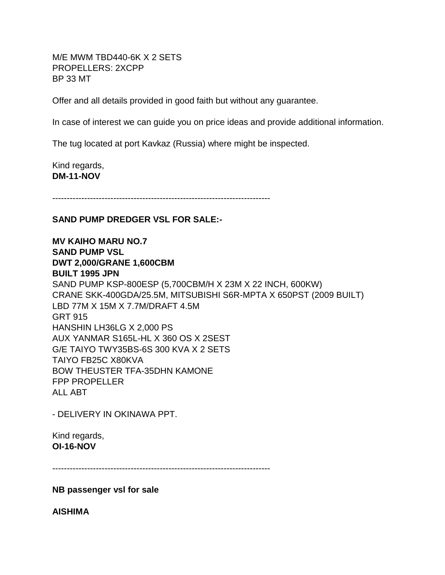M/E MWM TBD440-6K X 2 SETS PROPELLERS: 2XCPP BP 33 MT

Offer and all details provided in good faith but without any guarantee.

In case of interest we can guide you on price ideas and provide additional information.

The tug located at port Kavkaz (Russia) where might be inspected.

Kind regards, **DM-11-NOV**

---------------------------------------------------------------------------

## **SAND PUMP DREDGER VSL FOR SALE:-**

**MV KAIHO MARU NO.7 SAND PUMP VSL DWT 2,000/GRANE 1,600CBM BUILT 1995 JPN** SAND PUMP KSP-800ESP (5,700CBM/H X 23M X 22 INCH, 600KW) CRANE SKK-400GDA/25.5M, MITSUBISHI S6R-MPTA X 650PST (2009 BUILT) LBD 77M X 15M X 7.7M/DRAFT 4.5M GRT 915 HANSHIN LH36LG X 2,000 PS AUX YANMAR S165L-HL X 360 OS X 2SEST G/E TAIYO TWY35BS-6S 300 KVA X 2 SETS TAIYO FB25C X80KVA BOW THEUSTER TFA-35DHN KAMONE FPP PROPELLER ALL ABT

- DELIVERY IN OKINAWA PPT.

Kind regards, **OI-16-NOV**

---------------------------------------------------------------------------

**NB passenger vsl for sale**

**AISHIMA**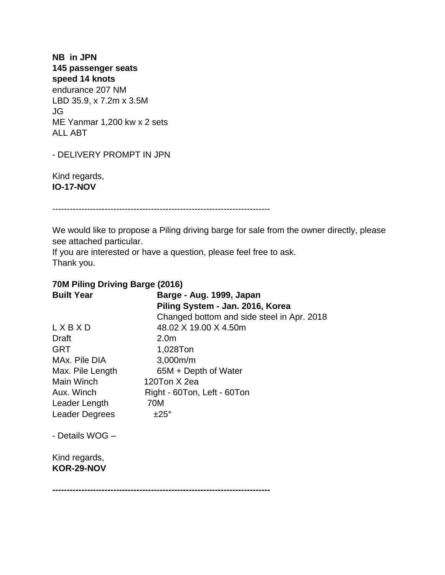**NB in JPN 145 passenger seats speed 14 knots** endurance 207 NM LBD 35.9, x 7.2m x 3.5M JG ME Yanmar 1,200 kw x 2 sets ALL ABT

- DELIVERY PROMPT IN JPN

Kind regards, **IO-17-NOV**

---------------------------------------------------------------------------

We would like to propose a Piling driving barge for sale from the owner directly, please see attached particular.

If you are interested or have a question, please feel free to ask. Thank you.

## **70M Piling Driving Barge (2016)**

| <b>Built Year</b>           | Barge - Aug. 1999, Japan<br>Piling System - Jan. 2016, Korea<br>Changed bottom and side steel in Apr. 2018 |
|-----------------------------|------------------------------------------------------------------------------------------------------------|
| LXBXD                       | 48.02 X 19.00 X 4.50m                                                                                      |
| Draft                       | 2.0m                                                                                                       |
| <b>GRT</b>                  | 1,028Ton                                                                                                   |
| MAx. Pile DIA               | 3,000m/m                                                                                                   |
| Max. Pile Length            | 65M + Depth of Water                                                                                       |
| Main Winch                  | 120Ton X 2ea                                                                                               |
| Aux. Winch                  | Right - 60Ton, Left - 60Ton                                                                                |
| Leader Length               | 70M                                                                                                        |
| <b>Leader Degrees</b>       | $±25^{\circ}$                                                                                              |
| - Details WOG -             |                                                                                                            |
| Kind regards,<br>KOR-29-NOV |                                                                                                            |

**---------------------------------------------------------------------------**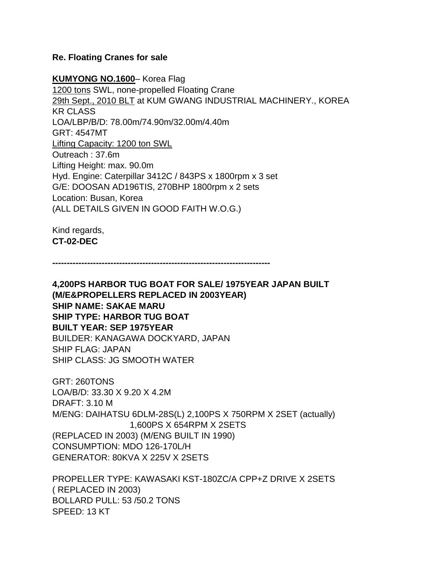#### **Re. Floating Cranes for sale**

**KUMYONG NO.1600**– Korea Flag 1200 tons SWL, none-propelled Floating Crane 29th Sept., 2010 BLT at KUM GWANG INDUSTRIAL MACHINERY., KOREA KR CLASS LOA/LBP/B/D: 78.00m/74.90m/32.00m/4.40m GRT: 4547MT Lifting Capacity: 1200 ton SWL Outreach : 37.6m Lifting Height: max. 90.0m Hyd. Engine: Caterpillar 3412C / 843PS x 1800rpm x 3 set G/E: DOOSAN AD196TIS, 270BHP 1800rpm x 2 sets Location: Busan, Korea (ALL DETAILS GIVEN IN GOOD FAITH W.O.G.)

Kind regards, **CT-02-DEC**

**---------------------------------------------------------------------------**

**4,200PS HARBOR TUG BOAT FOR SALE/ 1975YEAR JAPAN BUILT (M/E&PROPELLERS REPLACED IN 2003YEAR) SHIP NAME: SAKAE MARU SHIP TYPE: HARBOR TUG BOAT BUILT YEAR: SEP 1975YEAR** BUILDER: KANAGAWA DOCKYARD, JAPAN SHIP FLAG: JAPAN SHIP CLASS: JG SMOOTH WATER

GRT: 260TONS LOA/B/D: 33.30 X 9.20 X 4.2M DRAFT: 3.10 M M/ENG: DAIHATSU 6DLM-28S(L) 2,100PS X 750RPM X 2SET (actually) 1,600PS X 654RPM X 2SETS (REPLACED IN 2003) (M/ENG BUILT IN 1990) CONSUMPTION: MDO 126-170L/H GENERATOR: 80KVA X 225V X 2SETS

PROPELLER TYPE: KAWASAKI KST-180ZC/A CPP+Z DRIVE X 2SETS ( REPLACED IN 2003) BOLLARD PULL: 53 /50.2 TONS SPEED: 13 KT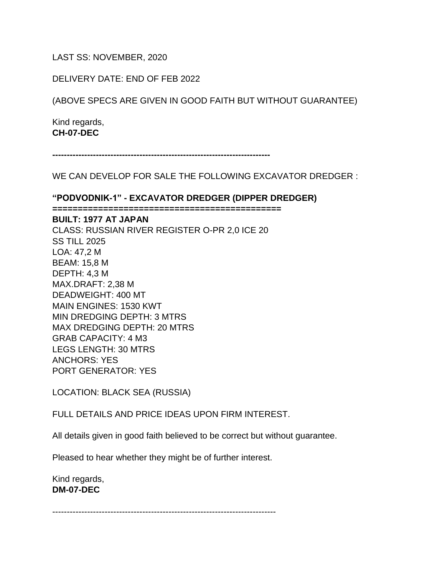LAST SS: NOVEMBER, 2020

DELIVERY DATE: END OF FEB 2022

(ABOVE SPECS ARE GIVEN IN GOOD FAITH BUT WITHOUT GUARANTEE)

Kind regards, **CH-07-DEC**

**---------------------------------------------------------------------------**

WE CAN DEVELOP FOR SALE THE FOLLOWING EXCAVATOR DREDGER :

**"PODVODNIK-1" - EXCAVATOR DREDGER (DIPPER DREDGER)**

**=============================================**

**BUILT: 1977 AT JAPAN**

CLASS: RUSSIAN RIVER REGISTER O-PR 2,0 ICE 20 SS TILL 2025 LOA: 47,2 M BEAM: 15,8 M DEPTH: 4,3 M MAX.DRAFT: 2,38 M DEADWEIGHT: 400 MT MAIN ENGINES: 1530 KWT MIN DREDGING DEPTH: 3 MTRS MAX DREDGING DEPTH: 20 MTRS GRAB CAPACITY: 4 M3 LEGS LENGTH: 30 MTRS ANCHORS: YES PORT GENERATOR: YES

LOCATION: BLACK SEA (RUSSIA)

FULL DETAILS AND PRICE IDEAS UPON FIRM INTEREST.

All details given in good faith believed to be correct but without guarantee.

Pleased to hear whether they might be of further interest.

Kind regards, **DM-07-DEC**

-----------------------------------------------------------------------------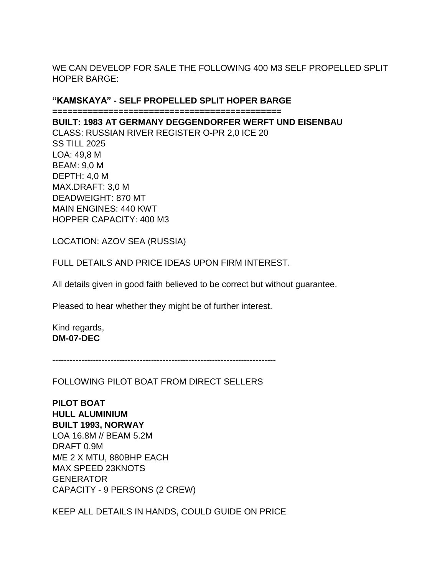## WE CAN DEVELOP FOR SALE THE FOLLOWING 400 M3 SELF PROPELLED SPLIT HOPER BARGE:

### **"KAMSKAYA" - SELF PROPELLED SPLIT HOPER BARGE**

**=============================================**

#### **BUILT: 1983 AT GERMANY DEGGENDORFER WERFT UND EISENBAU**

CLASS: RUSSIAN RIVER REGISTER O-PR 2,0 ICE 20 SS TILL 2025 LOA: 49,8 M BEAM: 9,0 M DEPTH: 4,0 M MAX.DRAFT: 3,0 M DEADWEIGHT: 870 MT MAIN ENGINES: 440 KWT HOPPER CAPACITY: 400 M3

LOCATION: AZOV SEA (RUSSIA)

FULL DETAILS AND PRICE IDEAS UPON FIRM INTEREST.

All details given in good faith believed to be correct but without guarantee.

Pleased to hear whether they might be of further interest.

Kind regards, **DM-07-DEC**

-----------------------------------------------------------------------------

FOLLOWING PILOT BOAT FROM DIRECT SELLERS

**PILOT BOAT HULL ALUMINIUM BUILT 1993, NORWAY** LOA 16.8M // BEAM 5.2M DRAFT 0.9M M/E 2 X MTU, 880BHP EACH MAX SPEED 23KNOTS **GENERATOR** CAPACITY - 9 PERSONS (2 CREW)

KEEP ALL DETAILS IN HANDS, COULD GUIDE ON PRICE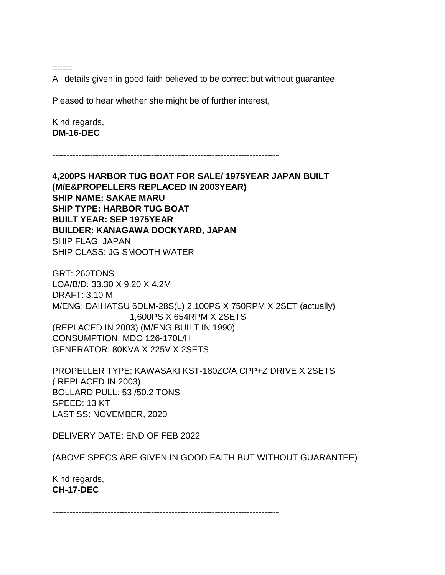====

All details given in good faith believed to be correct but without guarantee

Pleased to hear whether she might be of further interest,

Kind regards, **DM-16-DEC**

------------------------------------------------------------------------------

**4,200PS HARBOR TUG BOAT FOR SALE/ 1975YEAR JAPAN BUILT (M/E&PROPELLERS REPLACED IN 2003YEAR) SHIP NAME: SAKAE MARU SHIP TYPE: HARBOR TUG BOAT BUILT YEAR: SEP 1975YEAR BUILDER: KANAGAWA DOCKYARD, JAPAN** SHIP FLAG: JAPAN SHIP CLASS: JG SMOOTH WATER

GRT: 260TONS LOA/B/D: 33.30 X 9.20 X 4.2M DRAFT: 3.10 M M/ENG: DAIHATSU 6DLM-28S(L) 2,100PS X 750RPM X 2SET (actually) 1,600PS X 654RPM X 2SETS (REPLACED IN 2003) (M/ENG BUILT IN 1990) CONSUMPTION: MDO 126-170L/H GENERATOR: 80KVA X 225V X 2SETS

PROPELLER TYPE: KAWASAKI KST-180ZC/A CPP+Z DRIVE X 2SETS ( REPLACED IN 2003) BOLLARD PULL: 53 /50.2 TONS SPEED: 13 KT LAST SS: NOVEMBER, 2020

DELIVERY DATE: END OF FEB 2022

(ABOVE SPECS ARE GIVEN IN GOOD FAITH BUT WITHOUT GUARANTEE)

Kind regards, **CH-17-DEC**

------------------------------------------------------------------------------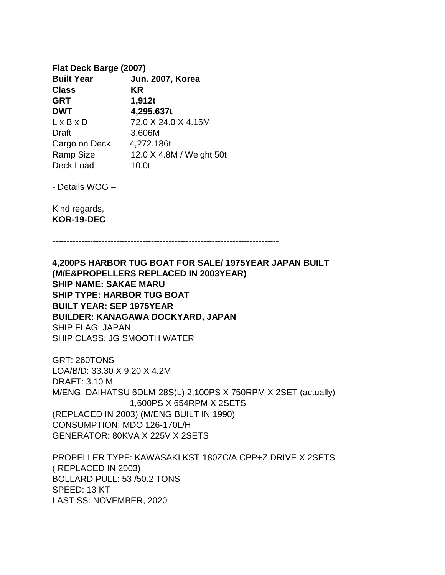## **Flat Deck Barge (2007) Built Year Jun. 2007, Korea Class KR GRT 1,912t DWT 4,295.637t** L x B x D 72.0 X 24.0 X 4.15M Draft 3.606M Cargo on Deck 4,272.186t Ramp Size 12.0 X 4.8M / Weight 50t Deck Load 10.0t

- Details WOG –

Kind regards, **KOR-19-DEC**

------------------------------------------------------------------------------

**4,200PS HARBOR TUG BOAT FOR SALE/ 1975YEAR JAPAN BUILT (M/E&PROPELLERS REPLACED IN 2003YEAR) SHIP NAME: SAKAE MARU SHIP TYPE: HARBOR TUG BOAT BUILT YEAR: SEP 1975YEAR BUILDER: KANAGAWA DOCKYARD, JAPAN** SHIP FLAG: JAPAN SHIP CLASS: JG SMOOTH WATER

GRT: 260TONS LOA/B/D: 33.30 X 9.20 X 4.2M DRAFT: 3.10 M M/ENG: DAIHATSU 6DLM-28S(L) 2,100PS X 750RPM X 2SET (actually) 1,600PS X 654RPM X 2SETS (REPLACED IN 2003) (M/ENG BUILT IN 1990) CONSUMPTION: MDO 126-170L/H GENERATOR: 80KVA X 225V X 2SETS

PROPELLER TYPE: KAWASAKI KST-180ZC/A CPP+Z DRIVE X 2SETS ( REPLACED IN 2003) BOLLARD PULL: 53 /50.2 TONS SPEED: 13 KT LAST SS: NOVEMBER, 2020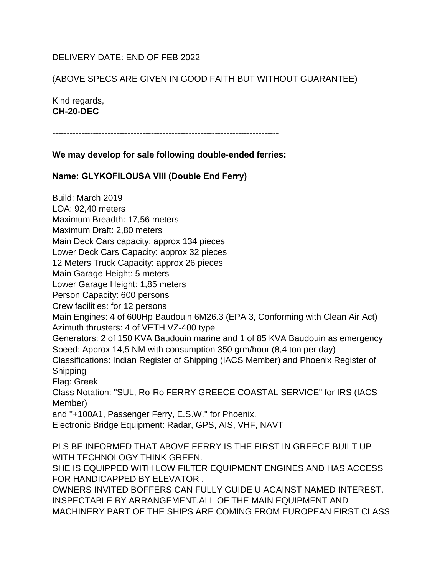## DELIVERY DATE: END OF FEB 2022

## (ABOVE SPECS ARE GIVEN IN GOOD FAITH BUT WITHOUT GUARANTEE)

Kind regards, **CH-20-DEC**

------------------------------------------------------------------------------

**We may develop for sale following double-ended ferries:**

**Name: GLYKOFILOUSA VΙΙΙ (Double End Ferry)**

Build: March 2019 LOA: 92,40 meters Maximum Breadth: 17,56 meters Maximum Draft: 2,80 meters Main Deck Cars capacity: approx 134 pieces Lower Deck Cars Capacity: approx 32 pieces 12 Meters Truck Capacity: approx 26 pieces Main Garage Height: 5 meters Lower Garage Height: 1,85 meters Person Capacity: 600 persons Crew facilities: for 12 persons Main Engines: 4 of 600Hp Baudouin 6M26.3 (EPA 3, Conforming with Clean Air Act) Azimuth thrusters: 4 of VETH VZ-400 type Generators: 2 of 150 KVA Baudouin marine and 1 of 85 KVA Baudouin as emergency Speed: Approx 14,5 NM with consumption 350 grm/hour (8,4 ton per day) Classifications: Indian Register of Shipping (IACS Member) and Phoenix Register of Shipping Flag: Greek Class Notation: "SUL, Ro-Ro FERRY GREECE COASTAL SERVICE" for IRS (IACS Member) and ''+100A1, Passenger Ferry, E.S.W.'' for Phoenix. Electronic Bridge Equipment: Radar, GPS, AIS, VHF, NAVT PLS BE INFORMED THAT ABOVE FERRY IS THE FIRST IN GREECE BUILT UP WITH TECHNOLOGY THINK GREEN. SHE IS EQUIPPED WITH LOW FILTER EQUIPMENT ENGINES AND HAS ACCESS FOR HANDICAPPED BY ELEVATOR . OWNERS INVITED BOFFERS CAN FULLY GUIDE U AGAINST NAMED INTEREST. INSPECTABLE BY ARRANGEMENT.ALL OF THE MAIN EQUIPMENT AND MACHINERY PART OF THE SHIPS ARE COMING FROM EUROPEAN FIRST CLASS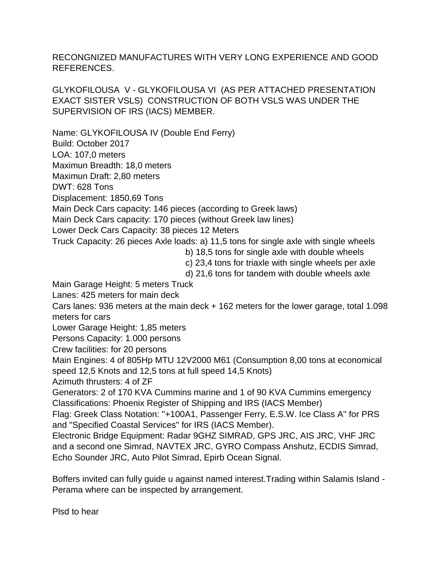RECONGNIZED MANUFACTURES WITH VERY LONG EXPERIENCE AND GOOD REFERENCES.

GLYKOFILOUSA V - GLYKOFILOUSA VI (AS PER ATTACHED PRESENTATION EXACT SISTER VSLS) CONSTRUCTION OF BOTH VSLS WAS UNDER THE SUPERVISION OF IRS (IACS) MEMBER.

Name: GLYKOFILOUSA IV (Double End Ferry) Build: October 2017 LOA: 107,0 meters Maximun Breadth: 18,0 meters Maximun Draft: 2,80 meters DWT: 628 Tons Displacement: 1850,69 Tons Main Deck Cars capacity: 146 pieces (according to Greek laws) Main Deck Cars capacity: 170 pieces (without Greek law lines) Lower Deck Cars Capacity: 38 pieces 12 Meters Truck Capacity: 26 pieces Axle loads: a) 11,5 tons for single axle with single wheels b) 18,5 tons for single axle with double wheels c) 23,4 tons for triaxle with single wheels per axle d) 21,6 tons for tandem with double wheels axle Main Garage Height: 5 meters Truck Lanes: 425 meters for main deck Cars lanes: 936 meters at the main deck + 162 meters for the lower garage, total 1.098 meters for cars Lower Garage Height: 1,85 meters Persons Capacity: 1.000 persons Crew facilities: for 20 persons Main Engines: 4 of 805Hp MTU 12V2000 M61 (Consumption 8,00 tons at economical speed 12,5 Knots and 12,5 tons at full speed 14,5 Knots) Azimuth thrusters: 4 of ZF Generators: 2 of 170 KVA Cummins marine and 1 of 90 KVA Cummins emergency Classifications: Phoenix Register of Shipping and IRS (IACS Member) Flag: Greek Class Notation: ''+100A1, Passenger Ferry, E.S.W. Ice Class A'' for PRS and "Specified Coastal Services" for IRS (IACS Member). Electronic Bridge Equipment: Radar 9GHZ SIMRAD, GPS JRC, AIS JRC, VHF JRC and a second one Simrad, NAVTEX JRC, GYRO Compass Anshutz, ECDIS Simrad, Echo Sounder JRC, Auto Pilot Simrad, Epirb Ocean Signal.

Boffers invited can fully guide u against named interest.Trading within Salamis Island - Perama where can be inspected by arrangement.

Plsd to hear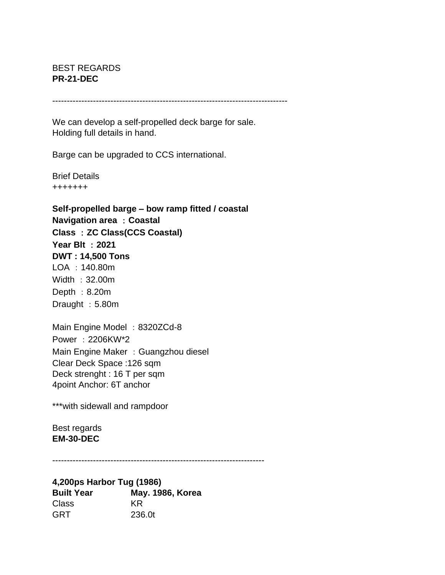## BEST REGARDS **PR-21-DEC**

---------------------------------------------------------------------------------

We can develop a self-propelled deck barge for sale. Holding full details in hand.

Barge can be upgraded to CCS international.

Brief Details +++++++

**Self-propelled barge – bow ramp fitted / coastal Navigation area** :**Coastal Class** :**ZC Class(CCS Coastal) Year Blt** :**2021 DWT : 14,500 Tons** LOA :140.80m Width :32.00m Depth :  $8.20m$ Draught : 5.80m

Main Engine Model: 8320ZCd-8 Power :2206KW\*2 Main Engine Maker : Guangzhou diesel Clear Deck Space :126 sqm Deck strenght : 16 T per sqm 4point Anchor: 6T anchor

\*\*\*with sidewall and rampdoor

Best regards **EM-30-DEC**

-------------------------------------------------------------------------

**4,200ps Harbor Tug (1986) Built Year May. 1986, Korea** Class KR GRT 236.0t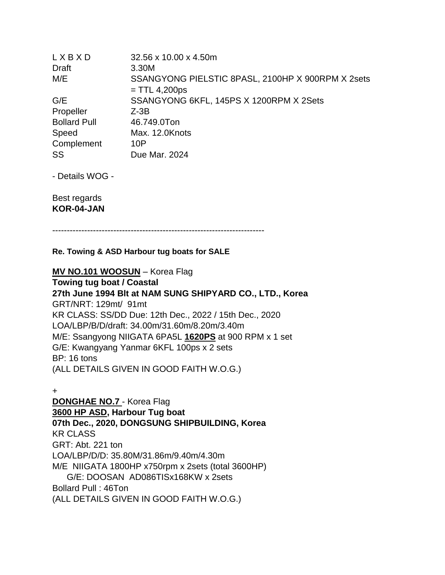| 32.56 x 10.00 x 4.50m                                                |
|----------------------------------------------------------------------|
| 3.30M                                                                |
| SSANGYONG PIELSTIC 8PASL, 2100HP X 900RPM X 2sets<br>$=$ TTL 4,200ps |
| SSANGYONG 6KFL, 145PS X 1200RPM X 2Sets                              |
| $Z-3B$                                                               |
| 46.749.0Ton                                                          |
| Max. 12.0Knots                                                       |
| 10P                                                                  |
| Due Mar. 2024                                                        |
|                                                                      |

- Details WOG -

Best regards **KOR-04-JAN**

-------------------------------------------------------------------------

#### **Re. Towing & ASD Harbour tug boats for SALE**

#### **MV NO.101 WOOSUN** – Korea Flag

**Towing tug boat / Coastal 27th June 1994 Blt at NAM SUNG SHIPYARD CO., LTD., Korea** GRT/NRT: 129mt/ 91mt KR CLASS: SS/DD Due: 12th Dec., 2022 / 15th Dec., 2020 LOA/LBP/B/D/draft: 34.00m/31.60m/8.20m/3.40m M/E: Ssangyong NIIGATA 6PA5L **1620PS** at 900 RPM x 1 set G/E: Kwangyang Yanmar 6KFL 100ps x 2 sets BP: 16 tons (ALL DETAILS GIVEN IN GOOD FAITH W.O.G.)

+

**DONGHAE NO.7** - Korea Flag **3600 HP ASD, Harbour Tug boat 07th Dec., 2020, DONGSUNG SHIPBUILDING, Korea** KR CLASS GRT: Abt. 221 ton LOA/LBP/D/D: 35.80M/31.86m/9.40m/4.30m M/E NIIGATA 1800HP x750rpm x 2sets (total 3600HP) G/E: DOOSAN AD086TISx168KW x 2sets Bollard Pull : 46Ton (ALL DETAILS GIVEN IN GOOD FAITH W.O.G.)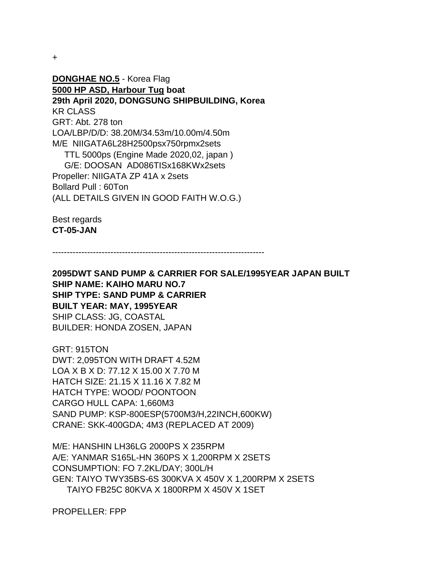+

**DONGHAE NO.5** - Korea Flag **5000 HP ASD, Harbour Tug boat 29th April 2020, DONGSUNG SHIPBUILDING, Korea** KR CLASS GRT: Abt. 278 ton LOA/LBP/D/D: 38.20M/34.53m/10.00m/4.50m M/E NIIGATA6L28H2500psx750rpmx2sets TTL 5000ps (Engine Made 2020,02, japan ) G/E: DOOSAN AD086TISx168KWx2sets Propeller: NIIGATA ZP 41A x 2sets Bollard Pull : 60Ton (ALL DETAILS GIVEN IN GOOD FAITH W.O.G.)

Best regards **CT-05-JAN**

-------------------------------------------------------------------------

**2095DWT SAND PUMP & CARRIER FOR SALE/1995YEAR JAPAN BUILT SHIP NAME: KAIHO MARU NO.7 SHIP TYPE: SAND PUMP & CARRIER BUILT YEAR: MAY, 1995YEAR** SHIP CLASS: JG, COASTAL BUILDER: HONDA ZOSEN, JAPAN

GRT: 915TON DWT: 2,095TON WITH DRAFT 4.52M LOA X B X D: 77.12 X 15.00 X 7.70 M HATCH SIZE: 21.15 X 11.16 X 7.82 M HATCH TYPE: WOOD/ POONTOON CARGO HULL CAPA: 1,660M3 SAND PUMP: KSP-800ESP(5700M3/H,22INCH,600KW) CRANE: SKK-400GDA; 4M3 (REPLACED AT 2009)

M/E: HANSHIN LH36LG 2000PS X 235RPM A/E: YANMAR S165L-HN 360PS X 1,200RPM X 2SETS CONSUMPTION: FO 7.2KL/DAY; 300L/H GEN: TAIYO TWY35BS-6S 300KVA X 450V X 1,200RPM X 2SETS TAIYO FB25C 80KVA X 1800RPM X 450V X 1SET

PROPELLER: FPP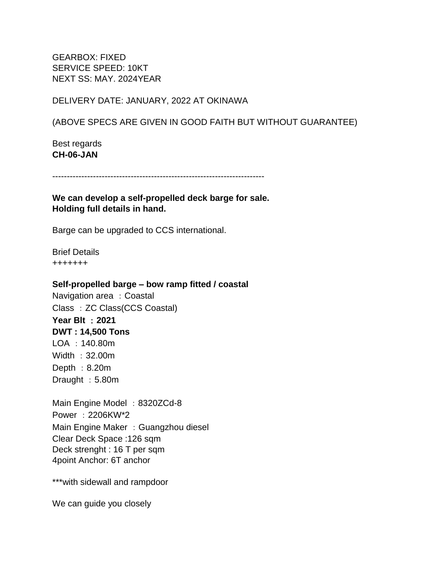GEARBOX: FIXED SERVICE SPEED: 10KT NEXT SS: MAY. 2024YEAR

DELIVERY DATE: JANUARY, 2022 AT OKINAWA

(ABOVE SPECS ARE GIVEN IN GOOD FAITH BUT WITHOUT GUARANTEE)

Best regards **CH-06-JAN**

-------------------------------------------------------------------------

**We can develop a self-propelled deck barge for sale. Holding full details in hand.**

Barge can be upgraded to CCS international.

Brief Details +++++++

**Self-propelled barge – bow ramp fitted / coastal**

Navigation area : Coastal Class : ZC Class(CCS Coastal)

**Year Blt** :**2021 DWT : 14,500 Tons** LOA :140.80m Width :32.00m Depth :  $8.20m$ Draught : 5.80m

Main Engine Model : 8320ZCd-8 Power :2206KW\*2 Main Engine Maker : Guangzhou diesel Clear Deck Space :126 sqm Deck strenght : 16 T per sqm 4point Anchor: 6T anchor

\*\*\*with sidewall and rampdoor

We can guide you closely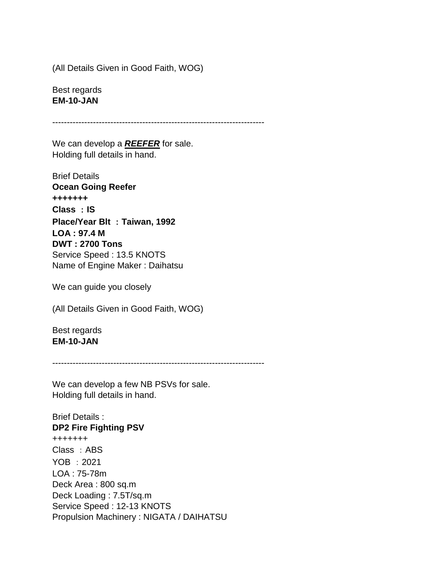(All Details Given in Good Faith, WOG)

Best regards **EM-10-JAN**

-------------------------------------------------------------------------

We can develop a *REEFER* for sale. Holding full details in hand.

Brief Details **Ocean Going Reefer +++++++ Class** :**IS Place/Year Blt** :**Taiwan, 1992 LOA : 97.4 M DWT : 2700 Tons** Service Speed : 13.5 KNOTS Name of Engine Maker : Daihatsu

We can guide you closely

(All Details Given in Good Faith, WOG)

Best regards **EM-10-JAN**

-------------------------------------------------------------------------

We can develop a few NB PSVs for sale. Holding full details in hand.

Brief Details : **DP2 Fire Fighting PSV** +++++++ Class: ABS YOB :2021 LOA : 75-78m Deck Area : 800 sq.m Deck Loading : 7.5T/sq.m Service Speed : 12-13 KNOTS Propulsion Machinery : NIGATA / DAIHATSU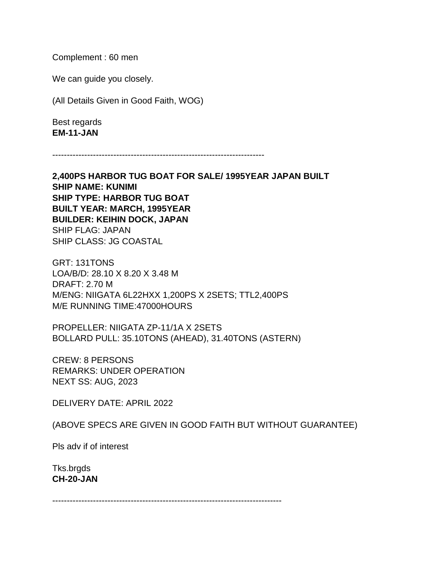Complement : 60 men

We can guide you closely.

(All Details Given in Good Faith, WOG)

Best regards **EM-11-JAN**

-------------------------------------------------------------------------

**2,400PS HARBOR TUG BOAT FOR SALE/ 1995YEAR JAPAN BUILT SHIP NAME: KUNIMI SHIP TYPE: HARBOR TUG BOAT BUILT YEAR: MARCH, 1995YEAR BUILDER: KEIHIN DOCK, JAPAN** SHIP FLAG: JAPAN SHIP CLASS: JG COASTAL

GRT: 131TONS LOA/B/D: 28.10 X 8.20 X 3.48 M DRAFT: 2.70 M M/ENG: NIIGATA 6L22HXX 1,200PS X 2SETS; TTL2,400PS M/E RUNNING TIME:47000HOURS

PROPELLER: NIIGATA ZP-11/1A X 2SETS BOLLARD PULL: 35.10TONS (AHEAD), 31.40TONS (ASTERN)

CREW: 8 PERSONS REMARKS: UNDER OPERATION NEXT SS: AUG, 2023

DELIVERY DATE: APRIL 2022

(ABOVE SPECS ARE GIVEN IN GOOD FAITH BUT WITHOUT GUARANTEE)

Pls adv if of interest

Tks.brgds **CH-20-JAN**

-------------------------------------------------------------------------------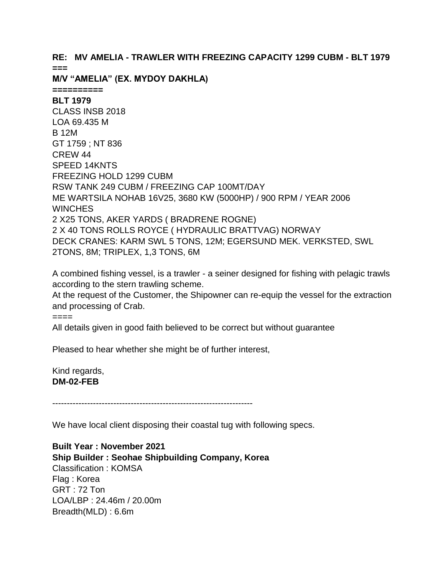### **RE: MV AMELIA - TRAWLER WITH FREEZING CAPACITY 1299 CUBM - BLT 1979 ===**

**M/V "AMELIA" (EX. MYDOY DAKHLA)** 

**==========**

**BLT 1979** CLASS INSB 2018 LOA 69.435 M B 12M GT 1759 ; NT 836 CREW 44 SPEED 14KNTS FREEZING HOLD 1299 CUBM RSW TANK 249 CUBM / FREEZING CAP 100MT/DAY ME WARTSILA NOHAB 16V25, 3680 KW (5000HP) / 900 RPM / YEAR 2006 **WINCHES** 2 X25 TONS, AKER YARDS ( BRADRENE ROGNE) 2 X 40 TONS ROLLS ROYCE ( HYDRAULIC BRATTVAG) NORWAY DECK CRANES: KARM SWL 5 TONS, 12M; EGERSUND MEK. VERKSTED, SWL 2TONS, 8M; TRIPLEX, 1,3 TONS, 6M

A combined fishing vessel, is a trawler - a seiner designed for fishing with pelagic trawls according to the stern trawling scheme.

At the request of the Customer, the Shipowner can re-equip the vessel for the extraction and processing of Crab.

====

All details given in good faith believed to be correct but without guarantee

Pleased to hear whether she might be of further interest,

Kind regards, **DM-02-FEB**

---------------------------------------------------------------------

We have local client disposing their coastal tug with following specs.

**Built Year : November 2021 Ship Builder : Seohae Shipbuilding Company, Korea** Classification : KOMSA Flag : Korea GRT : 72 Ton LOA/LBP : 24.46m / 20.00m Breadth(MLD) : 6.6m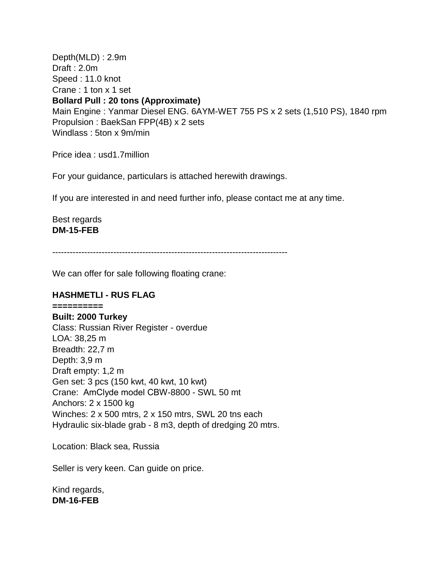Depth(MLD) : 2.9m Draft : 2.0m Speed : 11.0 knot Crane : 1 ton x 1 set **Bollard Pull : 20 tons (Approximate)** Main Engine : Yanmar Diesel ENG. 6AYM-WET 755 PS x 2 sets (1,510 PS), 1840 rpm Propulsion : BaekSan FPP(4B) x 2 sets Windlass : 5ton x 9m/min

Price idea : usd1.7million

For your guidance, particulars is attached herewith drawings.

If you are interested in and need further info, please contact me at any time.

Best regards **DM-15-FEB**

---------------------------------------------------------------------------------

We can offer for sale following floating crane:

#### **HASHMETLI - RUS FLAG**

**========== Built: 2000 Turkey** Class: Russian River Register - overdue LOA: 38,25 m Breadth: 22,7 m Depth: 3,9 m Draft empty: 1,2 m Gen set: 3 pcs (150 kwt, 40 kwt, 10 kwt) Crane: АmClyde model CBW-8800 - SWL 50 mt Anchors: 2 x 1500 kg Winches: 2 x 500 mtrs, 2 x 150 mtrs, SWL 20 tns each Hydraulic six-blade grab - 8 m3, depth of dredging 20 mtrs.

Location: Black sea, Russia

Seller is very keen. Can guide on price.

Kind regards, **DM-16-FEB**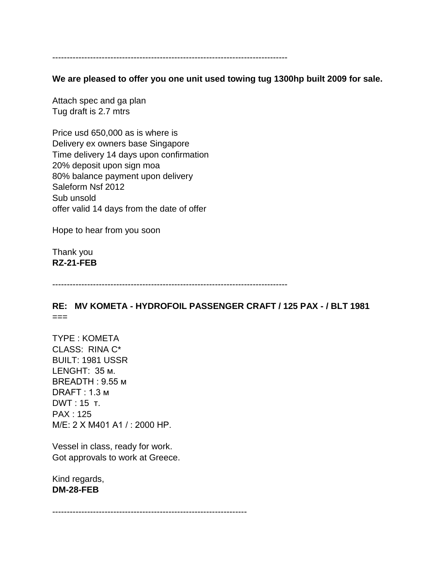---------------------------------------------------------------------------------

**We are pleased to offer you one unit used towing tug 1300hp built 2009 for sale.**

Attach spec and ga plan Tug draft is 2.7 mtrs

Price usd 650,000 as is where is Delivery ex owners base Singapore Time delivery 14 days upon confirmation 20% deposit upon sign moa 80% balance payment upon delivery Saleform Nsf 2012 Sub unsold offer valid 14 days from the date of offer

Hope to hear from you soon

Thank you **RZ-21-FEB**

---------------------------------------------------------------------------------

**RE: MV KOMETA - HYDROFOIL PASSENGER CRAFT / 125 PAX - / BLT 1981**  $===$ 

TYPE : KOMETA CLASS: RINA C\* BUILT: 1981 USSR LENGHT: 35 м. BREADTH : 9.55 м DRAFT : 1.3 м DWT : 15 т. PAX : 125 M/E: 2 X М401 А1 / : 2000 HP.

Vessel in class, ready for work. Got approvals to work at Greece.

Kind regards, **DM-28-FEB**

-------------------------------------------------------------------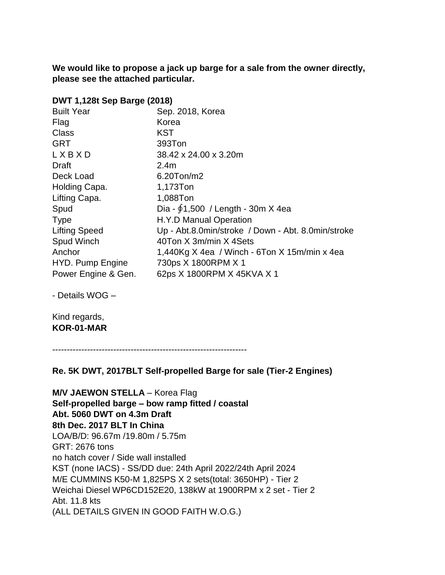**We would like to propose a jack up barge for a sale from the owner directly, please see the attached particular.**

### **DWT 1,128t Sep Barge (2018)**

| <b>Built Year</b>    | Sep. 2018, Korea                                   |
|----------------------|----------------------------------------------------|
| Flag                 | Korea                                              |
| Class                | KST                                                |
| <b>GRT</b>           | 393Ton                                             |
| LXBXD                | 38.42 x 24.00 x 3.20m                              |
| Draft                | 2.4 <sub>m</sub>                                   |
| Deck Load            | 6.20Ton/m2                                         |
| Holding Capa.        | 1,173Ton                                           |
| Lifting Capa.        | 1,088Ton                                           |
| Spud                 | Dia - $61,500$ / Length - 30m X 4ea                |
| <b>Type</b>          | H.Y.D Manual Operation                             |
| <b>Lifting Speed</b> | Up - Abt.8.0min/stroke / Down - Abt. 8.0min/stroke |
| Spud Winch           | 40Ton X 3m/min X 4Sets                             |
| Anchor               | 1,440Kg $X$ 4ea / Winch - 6Ton $X$ 15m/min x 4ea   |
| HYD. Pump Engine     | 730ps X 1800RPM X 1                                |
| Power Engine & Gen.  | 62ps X 1800RPM X 45KVA X 1                         |

- Details WOG –

Kind regards, **KOR-01-MAR**

-------------------------------------------------------------------

#### **Re. 5K DWT, 2017BLT Self-propelled Barge for sale (Tier-2 Engines)**

**M/V JAEWON STELLA** – Korea Flag **Self-propelled barge – bow ramp fitted / coastal Abt. 5060 DWT on 4.3m Draft 8th Dec. 2017 BLT In China** LOA/B/D: 96.67m /19.80m / 5.75m GRT: 2676 tons no hatch cover / Side wall installed KST (none IACS) - SS/DD due: 24th April 2022/24th April 2024 M/E CUMMINS K50-M 1,825PS X 2 sets(total: 3650HP) - Tier 2 Weichai Diesel WP6CD152E20, 138kW at 1900RPM x 2 set - Tier 2 Abt. 11.8 kts (ALL DETAILS GIVEN IN GOOD FAITH W.O.G.)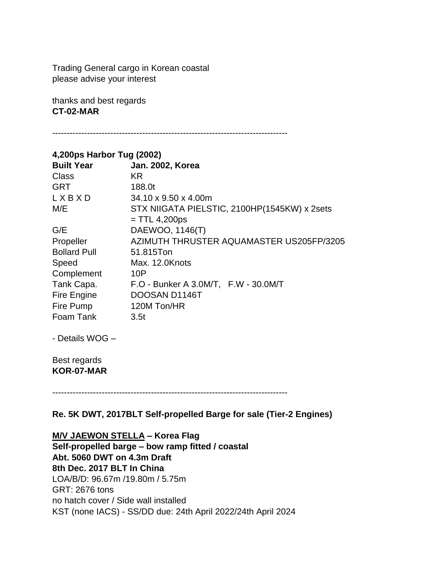Trading General cargo in Korean coastal please advise your interest

thanks and best regards **CT-02-MAR**

---------------------------------------------------------------------------------

| 4,200ps Harbor Tug (2002) |                                              |
|---------------------------|----------------------------------------------|
| <b>Built Year</b>         | <b>Jan. 2002, Korea</b>                      |
| Class                     | KR.                                          |
| <b>GRT</b>                | 188.0t                                       |
| LXBXD                     | $34.10 \times 9.50 \times 4.00$ m            |
| M/E                       | STX NIIGATA PIELSTIC, 2100HP(1545KW) x 2sets |
|                           | $=$ TTL 4,200ps                              |
| G/E                       | DAEWOO, 1146(T)                              |
| Propeller                 | AZIMUTH THRUSTER AQUAMASTER US205FP/3205     |
| <b>Bollard Pull</b>       | 51.815Ton                                    |
| Speed                     | Max. 12.0Knots                               |
| Complement                | 10P                                          |
| Tank Capa.                | F.O - Bunker A 3.0M/T, F.W - 30.0M/T         |
| Fire Engine               | DOOSAN D1146T                                |
| Fire Pump                 | 120M Ton/HR                                  |
| Foam Tank                 | 3.5t                                         |
|                           |                                              |

- Details WOG –

Best regards **KOR-07-MAR**

---------------------------------------------------------------------------------

**Re. 5K DWT, 2017BLT Self-propelled Barge for sale (Tier-2 Engines)**

#### **M/V JAEWON STELLA – Korea Flag**

**Self-propelled barge – bow ramp fitted / coastal Abt. 5060 DWT on 4.3m Draft 8th Dec. 2017 BLT In China** LOA/B/D: 96.67m /19.80m / 5.75m GRT: 2676 tons no hatch cover / Side wall installed KST (none IACS) - SS/DD due: 24th April 2022/24th April 2024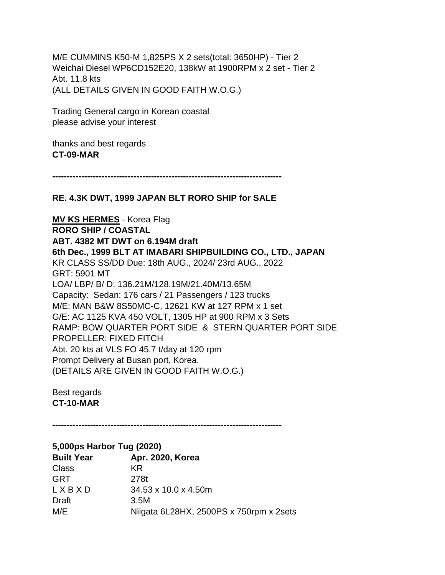M/E CUMMINS K50-M 1,825PS X 2 sets(total: 3650HP) - Tier 2 Weichai Diesel WP6CD152E20, 138kW at 1900RPM x 2 set - Tier 2 Abt. 11.8 kts (ALL DETAILS GIVEN IN GOOD FAITH W.O.G.)

Trading General cargo in Korean coastal please advise your interest

thanks and best regards **CT-09-MAR**

**-------------------------------------------------------------------------------**

## **RE. 4.3K DWT, 1999 JAPAN BLT RORO SHIP for SALE**

**MV KS HERMES** - Korea Flag **RORO SHIP / COASTAL ABT. 4382 MT DWT on 6.194M draft 6th Dec., 1999 BLT AT IMABARI SHIPBUILDING CO., LTD., JAPAN** KR CLASS SS/DD Due: 18th AUG., 2024/ 23rd AUG., 2022 GRT: 5901 MT LOA/ LBP/ B/ D: 136.21M/128.19M/21.40M/13.65M Capacity: Sedan: 176 cars / 21 Passengers / 123 trucks M/E: MAN B&W 8S50MC-C, 12621 KW at 127 RPM x 1 set G/E: AC 1125 KVA 450 VOLT, 1305 HP at 900 RPM x 3 Sets RAMP: BOW QUARTER PORT SIDE & STERN QUARTER PORT SIDE PROPELLER: FIXED FITCH Abt. 20 kts at VLS FO 45.7 t/day at 120 rpm Prompt Delivery at Busan port, Korea. (DETAILS ARE GIVEN IN GOOD FAITH W.O.G.)

Best regards **CT-10-MAR**

**-------------------------------------------------------------------------------**

| 5,000ps Harbor Tug (2020) |                                         |  |
|---------------------------|-----------------------------------------|--|
| <b>Built Year</b>         | Apr. 2020, Korea                        |  |
| <b>Class</b>              | KR.                                     |  |
| <b>GRT</b>                | 278t                                    |  |
| LXBXD                     | 34.53 x 10.0 x 4.50m                    |  |
| Draft                     | 3.5M                                    |  |
| M/E                       | Niigata 6L28HX, 2500PS x 750rpm x 2sets |  |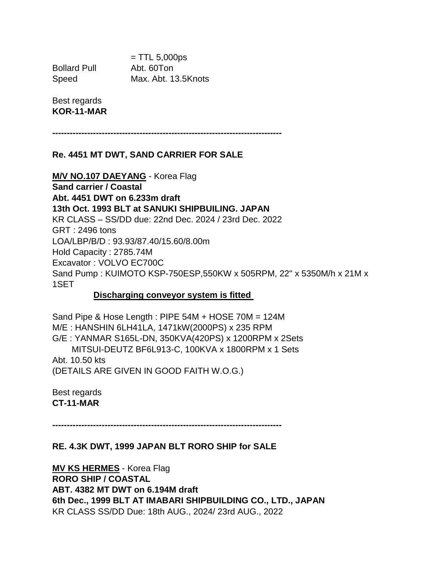$=$  TTL 5,000ps Bollard Pull Abt. 60Ton Speed Max. Abt. 13.5Knots

Best regards **KOR-11-MAR**

**-------------------------------------------------------------------------------**

#### **Re. 4451 MT DWT, SAND CARRIER FOR SALE**

#### **M/V NO.107 DAEYANG** - Korea Flag

**Sand carrier / Coastal Abt. 4451 DWT on 6.233m draft 13th Oct. 1993 BLT at SANUKI SHIPBUILING. JAPAN** KR CLASS – SS/DD due: 22nd Dec. 2024 / 23rd Dec. 2022 GRT : 2496 tons LOA/LBP/B/D : 93.93/87.40/15.60/8.00m Hold Capacity : 2785.74M Excavator : VOLVO EC700C Sand Pump : KUIMOTO KSP-750ESP,550KW x 505RPM, 22" x 5350M/h x 21M x 1SET

#### **Discharging conveyor system is fitted**

Sand Pipe & Hose Length : PIPE 54M + HOSE 70M = 124M M/E : HANSHIN 6LH41LA, 1471kW(2000PS) x 235 RPM G/E : YANMAR S165L-DN, 350KVA(420PS) x 1200RPM x 2Sets MITSUI-DEUTZ BF6L913-C, 100KVA x 1800RPM x 1 Sets Abt. 10.50 kts (DETAILS ARE GIVEN IN GOOD FAITH W.O.G.)

Best regards **CT-11-MAR**

**-------------------------------------------------------------------------------**

#### **RE. 4.3K DWT, 1999 JAPAN BLT RORO SHIP for SALE**

**MV KS HERMES** - Korea Flag **RORO SHIP / COASTAL ABT. 4382 MT DWT on 6.194M draft 6th Dec., 1999 BLT AT IMABARI SHIPBUILDING CO., LTD., JAPAN** KR CLASS SS/DD Due: 18th AUG., 2024/ 23rd AUG., 2022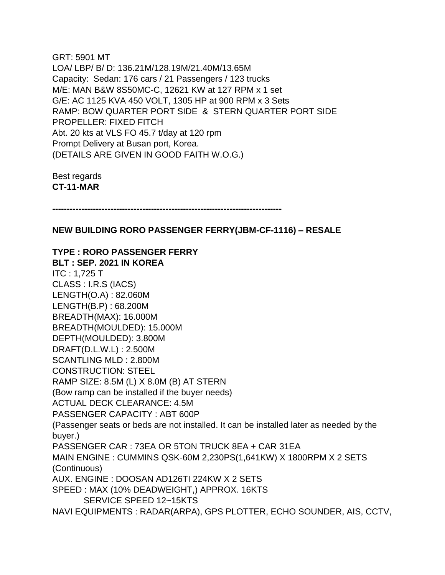GRT: 5901 MT LOA/ LBP/ B/ D: 136.21M/128.19M/21.40M/13.65M Capacity: Sedan: 176 cars / 21 Passengers / 123 trucks M/E: MAN B&W 8S50MC-C, 12621 KW at 127 RPM x 1 set G/E: AC 1125 KVA 450 VOLT, 1305 HP at 900 RPM x 3 Sets RAMP: BOW QUARTER PORT SIDE & STERN QUARTER PORT SIDE PROPELLER: FIXED FITCH Abt. 20 kts at VLS FO 45.7 t/day at 120 rpm Prompt Delivery at Busan port, Korea. (DETAILS ARE GIVEN IN GOOD FAITH W.O.G.)

Best regards **CT-11-MAR**

**-------------------------------------------------------------------------------**

#### **NEW BUILDING RORO PASSENGER FERRY(JBM-CF-1116) – RESALE**

**TYPE : RORO PASSENGER FERRY BLT : SEP. 2021 IN KOREA** ITC : 1,725 T CLASS : I.R.S (IACS) LENGTH(O.A) : 82.060M LENGTH(B.P) : 68.200M BREADTH(MAX): 16.000M BREADTH(MOULDED): 15.000M DEPTH(MOULDED): 3.800M DRAFT(D.L.W.L) : 2.500M SCANTLING MLD : 2.800M CONSTRUCTION: STEEL RAMP SIZE: 8.5M (L) X 8.0M (B) AT STERN (Bow ramp can be installed if the buyer needs) ACTUAL DECK CLEARANCE: 4.5M PASSENGER CAPACITY : ABT 600P (Passenger seats or beds are not installed. It can be installed later as needed by the buyer.) PASSENGER CAR : 73EA OR 5TON TRUCK 8EA + CAR 31EA MAIN ENGINE : CUMMINS QSK-60M 2,230PS(1,641KW) X 1800RPM X 2 SETS (Continuous) AUX. ENGINE : DOOSAN AD126TI 224KW X 2 SETS SPEED : MAX (10% DEADWEIGHT,) APPROX. 16KTS SERVICE SPEED 12~15KTS NAVI EQUIPMENTS : RADAR(ARPA), GPS PLOTTER, ECHO SOUNDER, AIS, CCTV,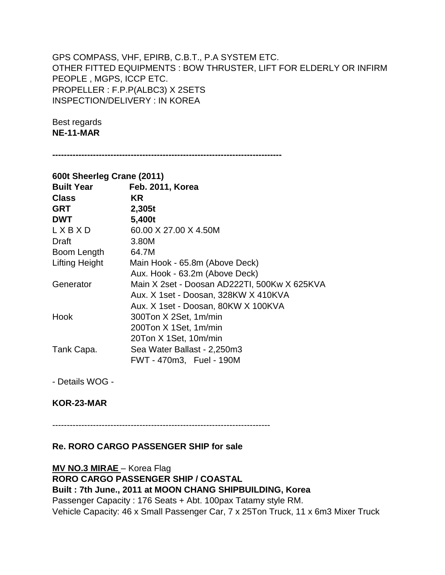## GPS COMPASS, VHF, EPIRB, C.B.T., P.A SYSTEM ETC. OTHER FITTED EQUIPMENTS : BOW THRUSTER, LIFT FOR ELDERLY OR INFIRM PEOPLE , MGPS, ICCP ETC. PROPELLER : F.P.P(ALBC3) X 2SETS INSPECTION/DELIVERY : IN KOREA

Best regards **NE-11-MAR**

**-------------------------------------------------------------------------------**

| 600t Sheerleg Crane (2011) |                                              |  |
|----------------------------|----------------------------------------------|--|
| <b>Built Year</b>          | Feb. 2011, Korea                             |  |
| <b>Class</b>               | <b>KR</b>                                    |  |
| <b>GRT</b>                 | 2,305t                                       |  |
| <b>DWT</b>                 | 5,400t                                       |  |
| LXBXD                      | 60.00 X 27.00 X 4.50M                        |  |
| Draft                      | 3.80M                                        |  |
| Boom Length                | 64.7M                                        |  |
| <b>Lifting Height</b>      | Main Hook - 65.8m (Above Deck)               |  |
|                            | Aux. Hook - 63.2m (Above Deck)               |  |
| Generator                  | Main X 2set - Doosan AD222TI, 500Kw X 625KVA |  |
|                            | Aux. X 1set - Doosan, 328KW X 410KVA         |  |
|                            | Aux. X 1set - Doosan, 80KW X 100KVA          |  |
| Hook                       | 300Ton X 2Set, 1m/min                        |  |
|                            | 200Ton X 1Set, 1m/min                        |  |
|                            | 20Ton X 1Set, 10m/min                        |  |
| Tank Capa.                 | Sea Water Ballast - 2,250m3                  |  |
|                            | FWT - 470m3, Fuel - 190M                     |  |

- Details WOG -

## **KOR-23-MAR**

---------------------------------------------------------------------------

## **Re. RORO CARGO PASSENGER SHIP for sale**

**MV NO.3 MIRAE** – Korea Flag **RORO CARGO PASSENGER SHIP / COASTAL Built : 7th June., 2011 at MOON CHANG SHIPBUILDING, Korea** Passenger Capacity : 176 Seats + Abt. 100pax Tatamy style RM. Vehicle Capacity: 46 x Small Passenger Car, 7 x 25Ton Truck, 11 x 6m3 Mixer Truck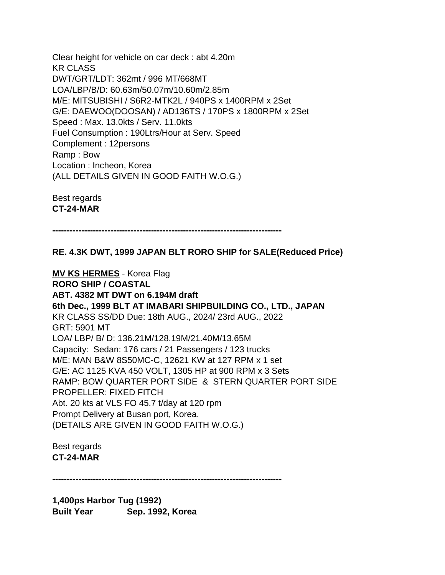Clear height for vehicle on car deck : abt 4.20m KR CLASS DWT/GRT/LDT: 362mt / 996 MT/668MT LOA/LBP/B/D: 60.63m/50.07m/10.60m/2.85m M/E: MITSUBISHI / S6R2-MTK2L / 940PS x 1400RPM x 2Set G/E: DAEWOO(DOOSAN) / AD136TS / 170PS x 1800RPM x 2Set Speed : Max. 13.0kts / Serv. 11.0kts Fuel Consumption : 190Ltrs/Hour at Serv. Speed Complement : 12persons Ramp : Bow Location : Incheon, Korea (ALL DETAILS GIVEN IN GOOD FAITH W.O.G.)

Best regards **CT-24-MAR**

**-------------------------------------------------------------------------------**

**RE. 4.3K DWT, 1999 JAPAN BLT RORO SHIP for SALE(Reduced Price)**

**MV KS HERMES** - Korea Flag **RORO SHIP / COASTAL ABT. 4382 MT DWT on 6.194M draft 6th Dec., 1999 BLT AT IMABARI SHIPBUILDING CO., LTD., JAPAN** KR CLASS SS/DD Due: 18th AUG., 2024/ 23rd AUG., 2022 GRT: 5901 MT LOA/ LBP/ B/ D: 136.21M/128.19M/21.40M/13.65M Capacity: Sedan: 176 cars / 21 Passengers / 123 trucks M/E: MAN B&W 8S50MC-C, 12621 KW at 127 RPM x 1 set G/E: AC 1125 KVA 450 VOLT, 1305 HP at 900 RPM x 3 Sets RAMP: BOW QUARTER PORT SIDE & STERN QUARTER PORT SIDE PROPELLER: FIXED FITCH Abt. 20 kts at VLS FO 45.7 t/day at 120 rpm Prompt Delivery at Busan port, Korea. (DETAILS ARE GIVEN IN GOOD FAITH W.O.G.)

Best regards **CT-24-MAR**

**-------------------------------------------------------------------------------**

**1,400ps Harbor Tug (1992) Built Year Sep. 1992, Korea**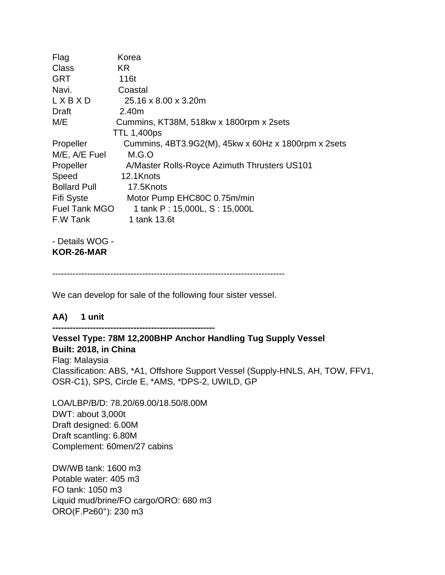| Flag                 | Korea                                               |
|----------------------|-----------------------------------------------------|
| <b>Class</b>         | KR.                                                 |
| <b>GRT</b>           | 116t                                                |
| Navi.                | Coastal                                             |
| LXBXD                | 25.16 x 8.00 x 3.20m                                |
| Draft                | 2.40m                                               |
| M/E                  | Cummins, KT38M, 518kw x 1800rpm x 2sets             |
|                      | <b>TTL 1,400ps</b>                                  |
| Propeller            | Cummins, 4BT3.9G2(M), 45kw x 60Hz x 1800rpm x 2sets |
| M/E, A/E Fuel        | M.G.O                                               |
| Propeller            | A/Master Rolls-Royce Azimuth Thrusters US101        |
| Speed                | 12.1Knots                                           |
| <b>Bollard Pull</b>  | 17.5Knots                                           |
| <b>Fifi Syste</b>    | Motor Pump EHC80C 0.75m/min                         |
| <b>Fuel Tank MGO</b> | 1 tank P: 15,000L, S: 15,000L                       |
| F.W Tank             | 1 tank 13.6t                                        |
| $D^{*}$              |                                                     |

- Details WOG - **KOR-26-MAR**

--------------------------------------------------------------------------------

We can develop for sale of the following four sister vessel.

## **AA) 1 unit**

**--------------------------------------------------------**

## **Vessel Type: 78M 12,200BHP Anchor Handling Tug Supply Vessel Built: 2018, in China**

Flag: Malaysia Classification: ABS, \*A1, Offshore Support Vessel (Supply-HNLS, AH, TOW, FFV1, OSR-C1), SPS, Circle E, \*AMS, \*DPS-2, UWILD, GP

LOA/LBP/B/D: 78.20/69.00/18.50/8.00M DWT: about 3,000t Draft designed: 6.00M Draft scantling: 6.80M Complement: 60men/27 cabins

DW/WB tank: 1600 m3 Potable water: 405 m3 FO tank: 1050 m3 Liquid mud/brine/FO cargo/ORO: 680 m3 ORO(F.P≥60°): 230 m3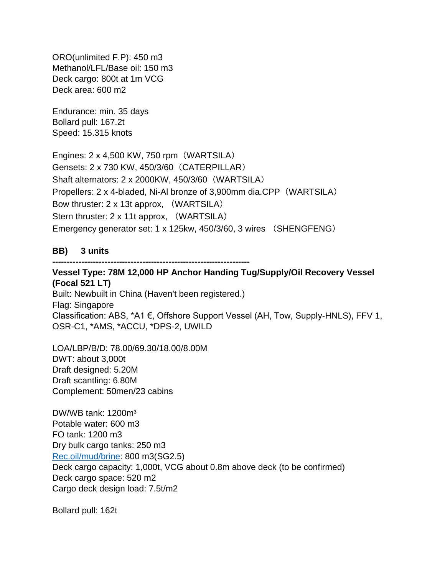ORO(unlimited F.P): 450 m3 Methanol/LFL/Base oil: 150 m3 Deck cargo: 800t at 1m VCG Deck area: 600 m2

Endurance: min. 35 days Bollard pull: 167.2t Speed: 15.315 knots

Engines: 2 x 4,500 KW, 750 rpm(WARTSILA) Gensets: 2 x 730 KW, 450/3/60(CATERPILLAR) Shaft alternators: 2 x 2000KW, 450/3/60(WARTSILA) Propellers: 2 x 4-bladed, Ni-Al bronze of 3,900mm dia.CPP(WARTSILA) Bow thruster: 2 x 13t approx, (WARTSILA) Stern thruster: 2 x 11t approx, (WARTSILA) Emergency generator set: 1 x 125kw, 450/3/60, 3 wires (SHENGFENG)

#### **BB) 3 units**

**--------------------------------------------------------------------**

**Vessel Type: 78M 12,000 HP Anchor Handing Tug/Supply/Oil Recovery Vessel (Focal 521 LT)** Built: Newbuilt in China (Haven't been registered.) Flag: Singapore Classification: ABS, \*A1 €, Offshore Support Vessel (AH, Tow, Supply-HNLS), FFV 1, OSR-C1, \*AMS, \*ACCU, \*DPS-2, UWILD

LOA/LBP/B/D: 78.00/69.30/18.00/8.00M DWT: about 3,000t Draft designed: 5.20M Draft scantling: 6.80M Complement: 50men/23 cabins

DW/WB tank: 1200m<sup>3</sup> Potable water: 600 m3 FO tank: 1200 m3 Dry bulk cargo tanks: 250 m3 [Rec.oil/mud/brine:](http://rec.oil/mud/brine) 800 m3(SG2.5) Deck cargo capacity: 1,000t, VCG about 0.8m above deck (to be confirmed) Deck cargo space: 520 m2 Cargo deck design load: 7.5t/m2

Bollard pull: 162t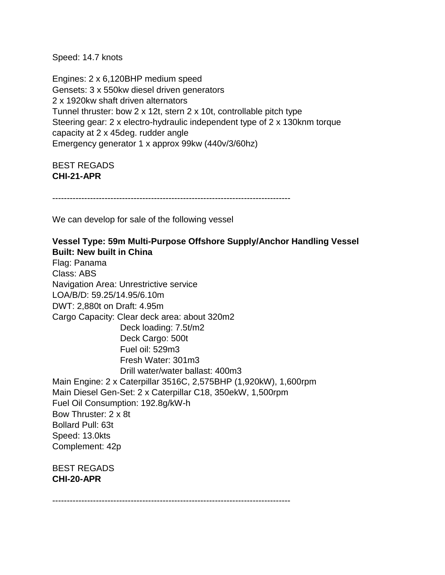Speed: 14.7 knots

Engines: 2 x 6,120BHP medium speed Gensets: 3 x 550kw diesel driven generators 2 x 1920kw shaft driven alternators Tunnel thruster: bow 2 x 12t, stern 2 x 10t, controllable pitch type Steering gear: 2 x electro-hydraulic independent type of 2 x 130knm torque capacity at 2 x 45deg. rudder angle Emergency generator 1 x approx 99kw (440v/3/60hz)

BEST REGADS **CHI-21-APR**

----------------------------------------------------------------------------------

We can develop for sale of the following vessel

## **Vessel Type: 59m Multi-Purpose Offshore Supply/Anchor Handling Vessel Built: New built in China**

Flag: Panama Class: ABS Navigation Area: Unrestrictive service LOA/B/D: 59.25/14.95/6.10m DWT: 2,880t on Draft: 4.95m Cargo Capacity: Clear deck area: about 320m2 Deck loading: 7.5t/m2 Deck Cargo: 500t Fuel oil: 529m3 Fresh Water: 301m3 Drill water/water ballast: 400m3 Main Engine: 2 x Caterpillar 3516C, 2,575BHP (1,920kW), 1,600rpm Main Diesel Gen-Set: 2 x Caterpillar C18, 350ekW, 1,500rpm Fuel Oil Consumption: 192.8g/kW-h Bow Thruster: 2 x 8t Bollard Pull: 63t Speed: 13.0kts Complement: 42p BEST REGADS **CHI-20-APR**

----------------------------------------------------------------------------------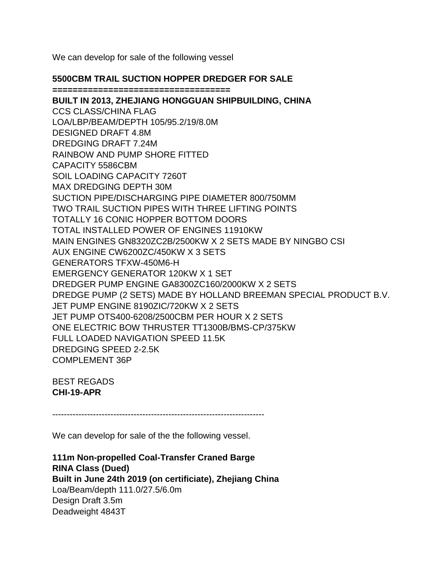We can develop for sale of the following vessel

## **5500CBM TRAIL SUCTION HOPPER DREDGER FOR SALE**

**===================================**

**BUILT IN 2013, ZHEJIANG HONGGUAN SHIPBUILDING, CHINA** CCS CLASS/CHINA FLAG LOA/LBP/BEAM/DEPTH 105/95.2/19/8.0M DESIGNED DRAFT 4.8M DREDGING DRAFT 7.24M RAINBOW AND PUMP SHORE FITTED CAPACITY 5586CBM SOIL LOADING CAPACITY 7260T MAX DREDGING DEPTH 30M SUCTION PIPE/DISCHARGING PIPE DIAMETER 800/750MM TWO TRAIL SUCTION PIPES WITH THREE LIFTING POINTS TOTALLY 16 CONIC HOPPER BOTTOM DOORS TOTAL INSTALLED POWER OF ENGINES 11910KW MAIN ENGINES GN8320ZC2B/2500KW X 2 SETS MADE BY NINGBO CSI AUX ENGINE CW6200ZC/450KW X 3 SETS GENERATORS TFXW-450M6-H EMERGENCY GENERATOR 120KW X 1 SET DREDGER PUMP ENGINE GA8300ZC160/2000KW X 2 SETS DREDGE PUMP (2 SETS) MADE BY HOLLAND BREEMAN SPECIAL PRODUCT B.V. JET PUMP ENGINE 8190ZIC/720KW X 2 SETS JET PUMP OTS400-6208/2500CBM PER HOUR X 2 SETS ONE ELECTRIC BOW THRUSTER TT1300B/BMS-CP/375KW FULL LOADED NAVIGATION SPEED 11.5K DREDGING SPEED 2-2.5K COMPLEMENT 36P

BEST REGADS **CHI-19-APR**

-------------------------------------------------------------------------

We can develop for sale of the the following vessel.

**111m Non-propelled Coal-Transfer Craned Barge RINA Class (Dued) Built in June 24th 2019 (on certificiate), Zhejiang China** Loa/Beam/depth 111.0/27.5/6.0m Design Draft 3.5m Deadweight 4843T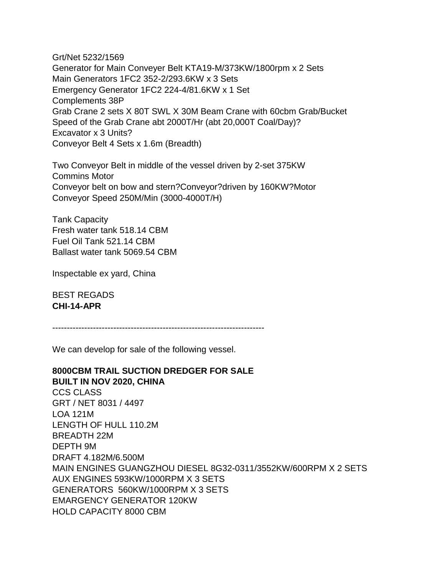Grt/Net 5232/1569 Generator for Main Conveyer Belt KTA19-M/373KW/1800rpm x 2 Sets Main Generators 1FC2 352-2/293.6KW x 3 Sets Emergency Generator 1FC2 224-4/81.6KW x 1 Set Complements 38P Grab Crane 2 sets X 80T SWL X 30M Beam Crane with 60cbm Grab/Bucket Speed of the Grab Crane abt 2000T/Hr (abt 20,000T Coal/Day)? Excavator x 3 Units? Conveyor Belt 4 Sets x 1.6m (Breadth)

Two Conveyor Belt in middle of the vessel driven by 2-set 375KW Commins Motor Conveyor belt on bow and stern?Conveyor?driven by 160KW?Motor Conveyor Speed 250M/Min (3000-4000T/H)

Tank Capacity Fresh water tank 518.14 CBM Fuel Oil Tank 521.14 CBM Ballast water tank 5069.54 CBM

Inspectable ex yard, China

BEST REGADS **CHI-14-APR**

-------------------------------------------------------------------------

We can develop for sale of the following vessel.

**8000CBM TRAIL SUCTION DREDGER FOR SALE BUILT IN NOV 2020, CHINA** CCS CLASS GRT / NET 8031 / 4497 LOA 121M LENGTH OF HULL 110.2M BREADTH 22M DEPTH 9M DRAFT 4.182M/6.500M MAIN ENGINES GUANGZHOU DIESEL 8G32-0311/3552KW/600RPM X 2 SETS AUX ENGINES 593KW/1000RPM X 3 SETS GENERATORS 560KW/1000RPM X 3 SETS EMARGENCY GENERATOR 120KW HOLD CAPACITY 8000 CBM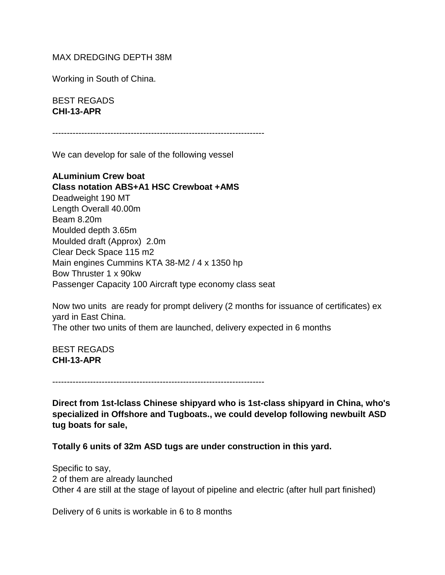### MAX DREDGING DEPTH 38M

Working in South of China.

BEST REGADS **CHI-13-APR**

-------------------------------------------------------------------------

We can develop for sale of the following vessel

**ALuminium Crew boat Class notation ABS+A1 HSC Crewboat +AMS** Deadweight 190 MT Length Overall 40.00m Beam 8.20m Moulded depth 3.65m Moulded draft (Approx) 2.0m Clear Deck Space 115 m2 Main engines Cummins KTA 38-M2 / 4 x 1350 hp Bow Thruster 1 x 90kw Passenger Capacity 100 Aircraft type economy class seat

Now two units are ready for prompt delivery (2 months for issuance of certificates) ex yard in East China.

The other two units of them are launched, delivery expected in 6 months

BEST REGADS **CHI-13-APR**

-------------------------------------------------------------------------

**Direct from 1st-lclass Chinese shipyard who is 1st-class shipyard in China, who's specialized in Offshore and Tugboats., we could develop following newbuilt ASD tug boats for sale,**

**Totally 6 units of 32m ASD tugs are under construction in this yard.**

Specific to say, 2 of them are already launched Other 4 are still at the stage of layout of pipeline and electric (after hull part finished)

Delivery of 6 units is workable in 6 to 8 months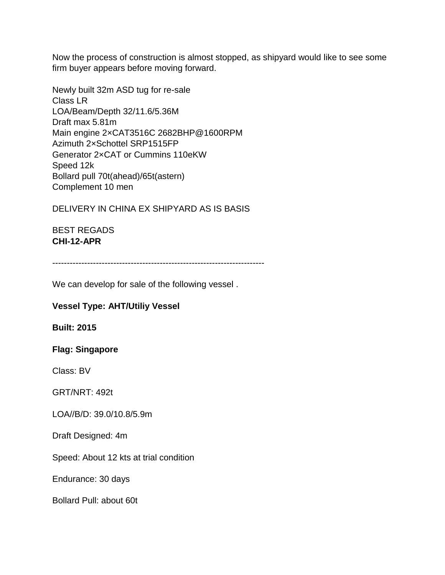Now the process of construction is almost stopped, as shipyard would like to see some firm buyer appears before moving forward.

Newly built 32m ASD tug for re-sale Class LR LOA/Beam/Depth 32/11.6/5.36M Draft max 5.81m Main engine 2×CAT3516C 2682BHP@1600RPM Azimuth 2×Schottel SRP1515FP Generator 2×CAT or Cummins 110eKW Speed 12k Bollard pull 70t(ahead)/65t(astern) Complement 10 men

DELIVERY IN CHINA EX SHIPYARD AS IS BASIS

BEST REGADS **CHI-12-APR**

-------------------------------------------------------------------------

We can develop for sale of the following vessel .

## **Vessel Type: AHT/Utiliy Vessel**

**Built: 2015**

#### **Flag: Singapore**

Class: BV

GRT/NRT: 492t

LOA//B/D: 39.0/10.8/5.9m

Draft Designed: 4m

Speed: About 12 kts at trial condition

Endurance: 30 days

Bollard Pull: about 60t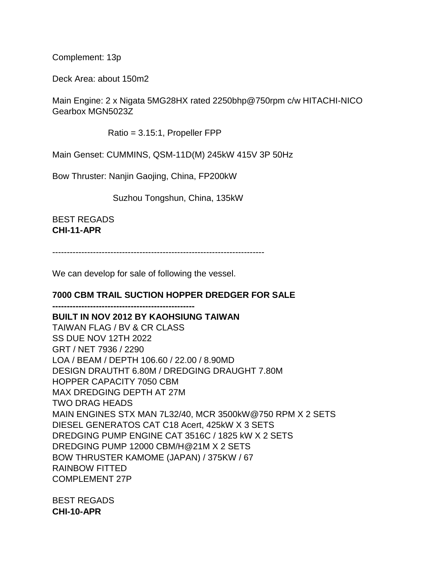Complement: 13p

Deck Area: about 150m2

Main Engine: 2 x Nigata 5MG28HX rated 2250bhp@750rpm c/w HITACHI-NICO Gearbox MGN5023Z

Ratio = 3.15:1, Propeller FPP

Main Genset: CUMMINS, QSM-11D(M) 245kW 415V 3P 50Hz

Bow Thruster: Nanjin Gaojing, China, FP200kW

Suzhou Tongshun, China, 135kW

BEST REGADS **CHI-11-APR**

-------------------------------------------------------------------------

We can develop for sale of following the vessel.

## **7000 CBM TRAIL SUCTION HOPPER DREDGER FOR SALE**

**------------------------------------------------- BUILT IN NOV 2012 BY KAOHSIUNG TAIWAN**

TAIWAN FLAG / BV & CR CLASS SS DUE NOV 12TH 2022 GRT / NET 7936 / 2290 LOA / BEAM / DEPTH 106.60 / 22.00 / 8.90MD DESIGN DRAUTHT 6.80M / DREDGING DRAUGHT 7.80M HOPPER CAPACITY 7050 CBM MAX DREDGING DEPTH AT 27M TWO DRAG HEADS MAIN ENGINES STX MAN 7L32/40, MCR 3500kW@750 RPM X 2 SETS DIESEL GENERATOS CAT C18 Acert, 425kW X 3 SETS DREDGING PUMP ENGINE CAT 3516C / 1825 kW X 2 SETS DREDGING PUMP 12000 CBM/H@21M X 2 SETS BOW THRUSTER KAMOME (JAPAN) / 375KW / 67 RAINBOW FITTED COMPLEMENT 27P

BEST REGADS **CHI-10-APR**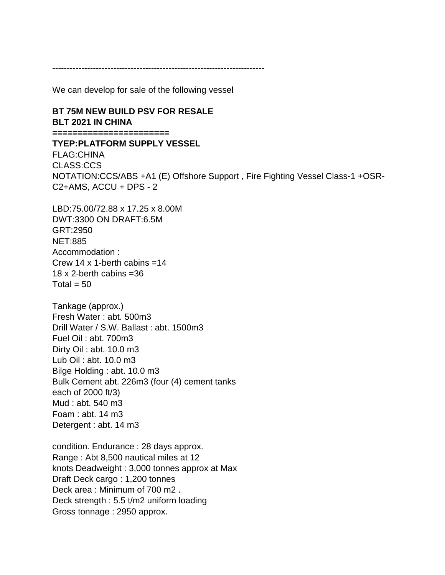-------------------------------------------------------------------------

We can develop for sale of the following vessel

### **BT 75M NEW BUILD PSV FOR RESALE BLT 2021 IN CHINA**

**=======================**

**TYEP:PLATFORM SUPPLY VESSEL**

FLAG:CHINA CLASS:CCS NOTATION:CCS/ABS +A1 (E) Offshore Support , Fire Fighting Vessel Class-1 +OSR-C2+AMS, ACCU + DPS - 2

LBD:75.00/72.88 x 17.25 x 8.00M DWT:3300 ON DRAFT:6.5M GRT:2950 NET:885 Accommodation : Crew 14 x 1-berth cabins  $=14$ 18  $\times$  2-berth cabins = 36 Total  $= 50$ 

Tankage (approx.) Fresh Water : abt. 500m3 Drill Water / S.W. Ballast : abt. 1500m3 Fuel Oil : abt. 700m3 Dirty Oil : abt. 10.0 m3 Lub Oil : abt. 10.0 m3 Bilge Holding : abt. 10.0 m3 Bulk Cement abt. 226m3 (four (4) cement tanks each of 2000 ft/3) Mud : abt. 540 m3 Foam : abt. 14 m3 Detergent : abt. 14 m3

condition. Endurance : 28 days approx. Range : Abt 8,500 nautical miles at 12 knots Deadweight : 3,000 tonnes approx at Max Draft Deck cargo : 1,200 tonnes Deck area : Minimum of 700 m2 . Deck strength : 5.5 t/m2 uniform loading Gross tonnage : 2950 approx.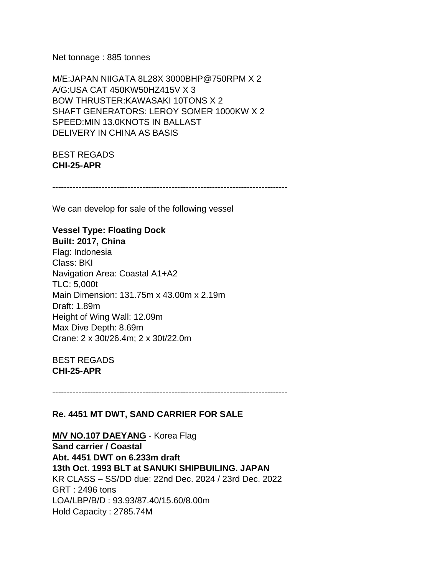Net tonnage : 885 tonnes

M/E:JAPAN NIIGATA 8L28X 3000BHP@750RPM X 2 A/G:USA CAT 450KW50HZ415V X 3 BOW THRUSTER:KAWASAKI 10TONS X 2 SHAFT GENERATORS: LEROY SOMER 1000KW X 2 SPEED:MIN 13.0KNOTS IN BALLAST DELIVERY IN CHINA AS BASIS

BEST REGADS **CHI-25-APR**

---------------------------------------------------------------------------------

We can develop for sale of the following vessel

# **Vessel Type: Floating Dock**

**Built: 2017, China** Flag: Indonesia Class: BKI Navigation Area: Coastal A1+A2 TLC: 5,000t Main Dimension: 131.75m x 43.00m x 2.19m Draft: 1.89m Height of Wing Wall: 12.09m Max Dive Depth: 8.69m Crane: 2 x 30t/26.4m; 2 x 30t/22.0m

BEST REGADS **CHI-25-APR**

---------------------------------------------------------------------------------

#### **Re. 4451 MT DWT, SAND CARRIER FOR SALE**

**M/V NO.107 DAEYANG** - Korea Flag **Sand carrier / Coastal Abt. 4451 DWT on 6.233m draft 13th Oct. 1993 BLT at SANUKI SHIPBUILING. JAPAN** KR CLASS – SS/DD due: 22nd Dec. 2024 / 23rd Dec. 2022 GRT : 2496 tons LOA/LBP/B/D : 93.93/87.40/15.60/8.00m Hold Capacity : 2785.74M